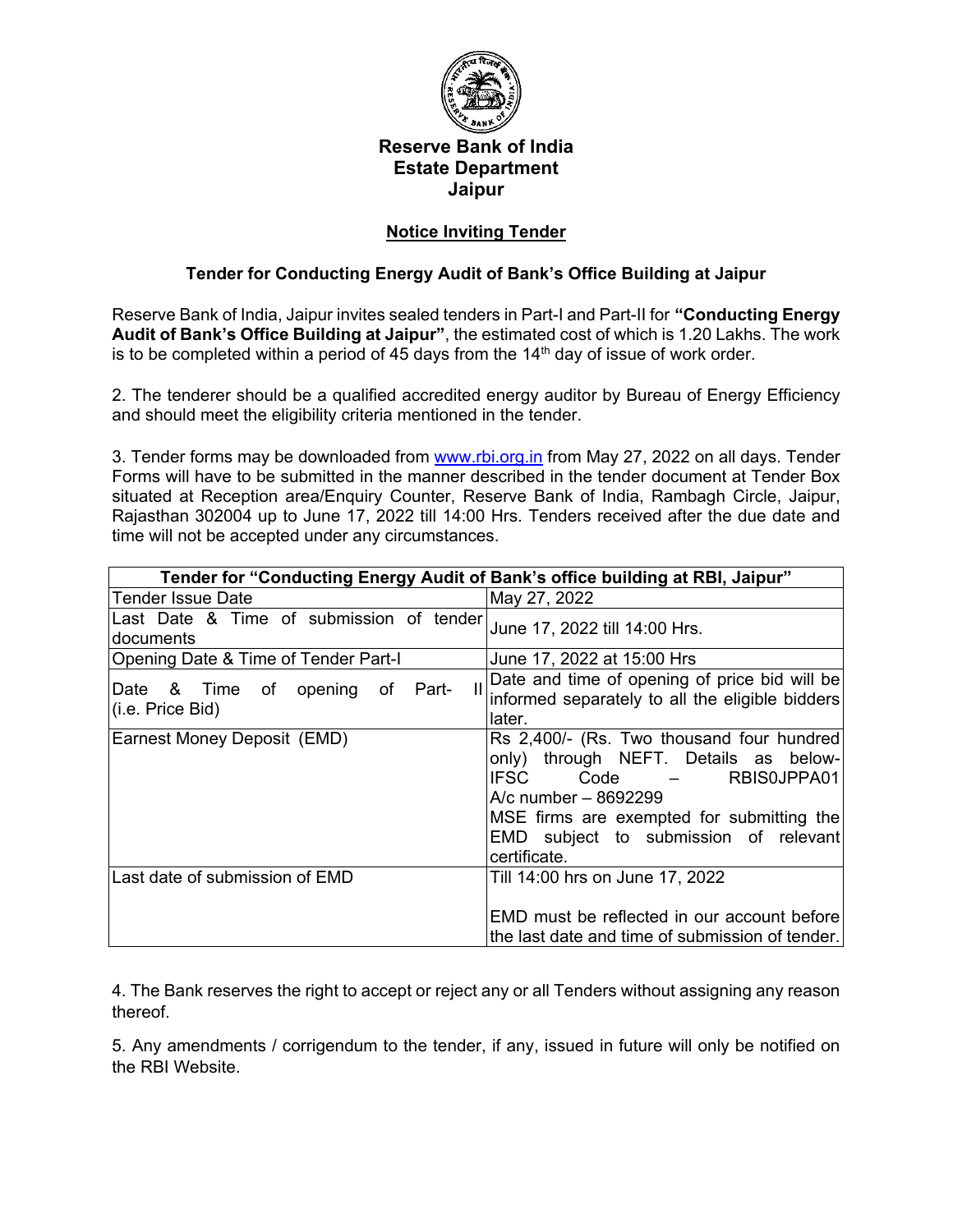

#### **Reserve Bank of India Estate Department Jaipur**

#### **Notice Inviting Tender**

#### **Tender for Conducting Energy Audit of Bank's Office Building at Jaipur**

Reserve Bank of India, Jaipur invites sealed tenders in Part-I and Part-II for **"Conducting Energy Audit of Bank's Office Building at Jaipur"**, the estimated cost of which is 1.20 Lakhs. The work is to be completed within a period of 45 days from the  $14<sup>th</sup>$  day of issue of work order.

2. The tenderer should be a qualified accredited energy auditor by Bureau of Energy Efficiency and should meet the eligibility criteria mentioned in the tender.

3. Tender forms may be downloaded from [www.rbi.org.in](http://www.rbi.org.in/) from May 27, 2022 on all days. Tender Forms will have to be submitted in the manner described in the tender document at Tender Box situated at Reception area/Enquiry Counter, Reserve Bank of India, Rambagh Circle, Jaipur, Rajasthan 302004 up to June 17, 2022 till 14:00 Hrs. Tenders received after the due date and time will not be accepted under any circumstances.

| Tender for "Conducting Energy Audit of Bank's office building at RBI, Jaipur" |                                                                                                                                                                                                                                                         |
|-------------------------------------------------------------------------------|---------------------------------------------------------------------------------------------------------------------------------------------------------------------------------------------------------------------------------------------------------|
| Tender Issue Date                                                             | May 27, 2022                                                                                                                                                                                                                                            |
| Last Date & Time of submission of tender<br>documents                         | June 17, 2022 till 14:00 Hrs.                                                                                                                                                                                                                           |
| Opening Date & Time of Tender Part-I                                          | June 17, 2022 at 15:00 Hrs                                                                                                                                                                                                                              |
| Part-<br>Date & Time of opening of<br>(i.e. Price Bid)                        | Date and time of opening of price bid will be<br>informed separately to all the eligible bidders<br>later.                                                                                                                                              |
| Earnest Money Deposit (EMD)                                                   | Rs 2,400/- (Rs. Two thousand four hundred)<br>only) through NEFT. Details as below-<br><b>IFSC</b><br>RBIS0JPPA01<br>Code<br>A/c number - 8692299<br>MSE firms are exempted for submitting the<br>EMD subject to submission of relevant<br>certificate. |
| Last date of submission of EMD                                                | Till 14:00 hrs on June 17, 2022<br>EMD must be reflected in our account before<br>the last date and time of submission of tender.                                                                                                                       |

4. The Bank reserves the right to accept or reject any or all Tenders without assigning any reason thereof.

5. Any amendments / corrigendum to the tender, if any, issued in future will only be notified on the RBI Website.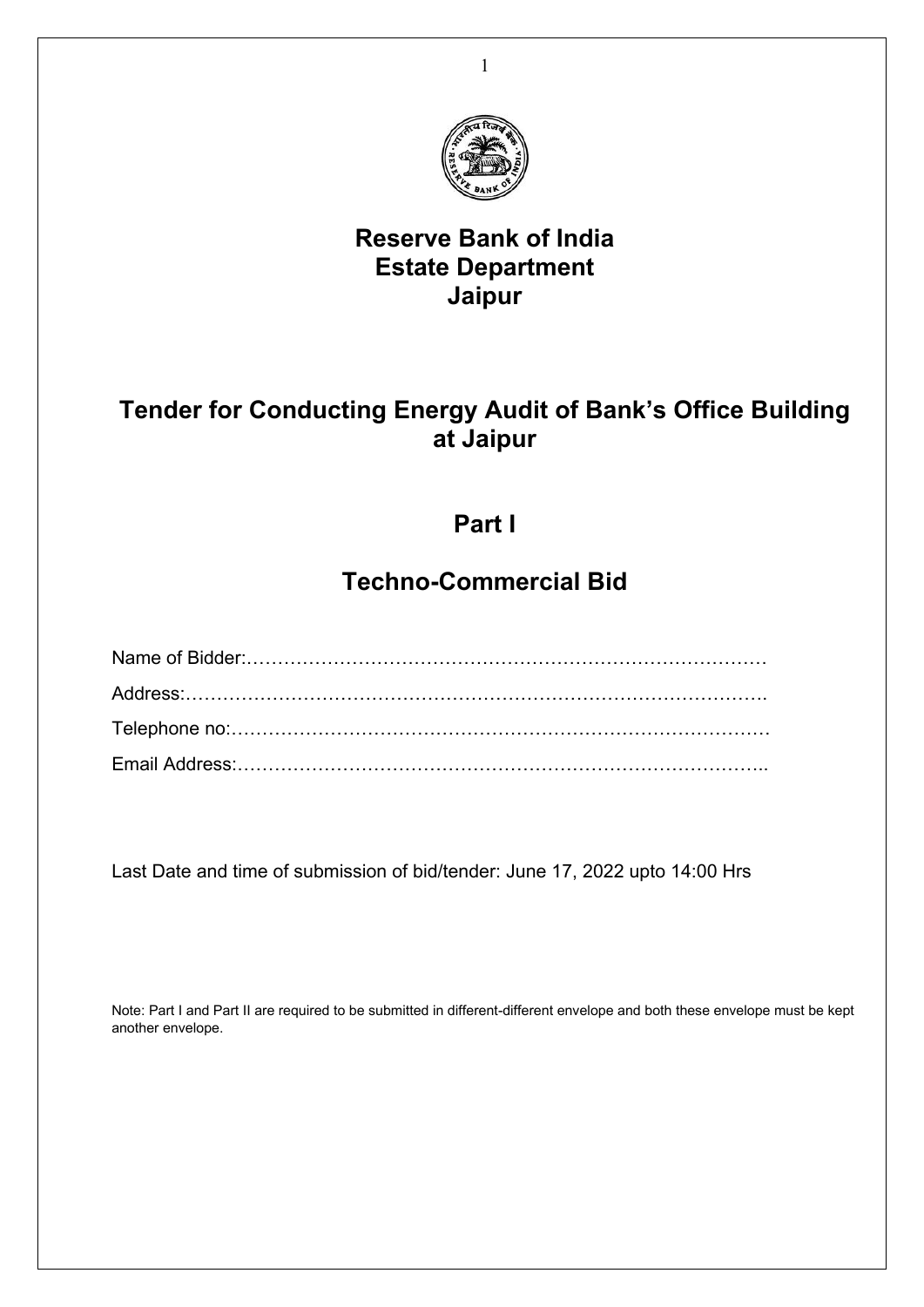

## **Reserve Bank of India Estate Department Jaipur**

## **Tender for Conducting Energy Audit of Bank's Office Building at Jaipur**

## **Part I**

# **Techno-Commercial Bid**

Last Date and time of submission of bid/tender: June 17, 2022 upto 14:00 Hrs

Note: Part I and Part II are required to be submitted in different-different envelope and both these envelope must be kept another envelope.

1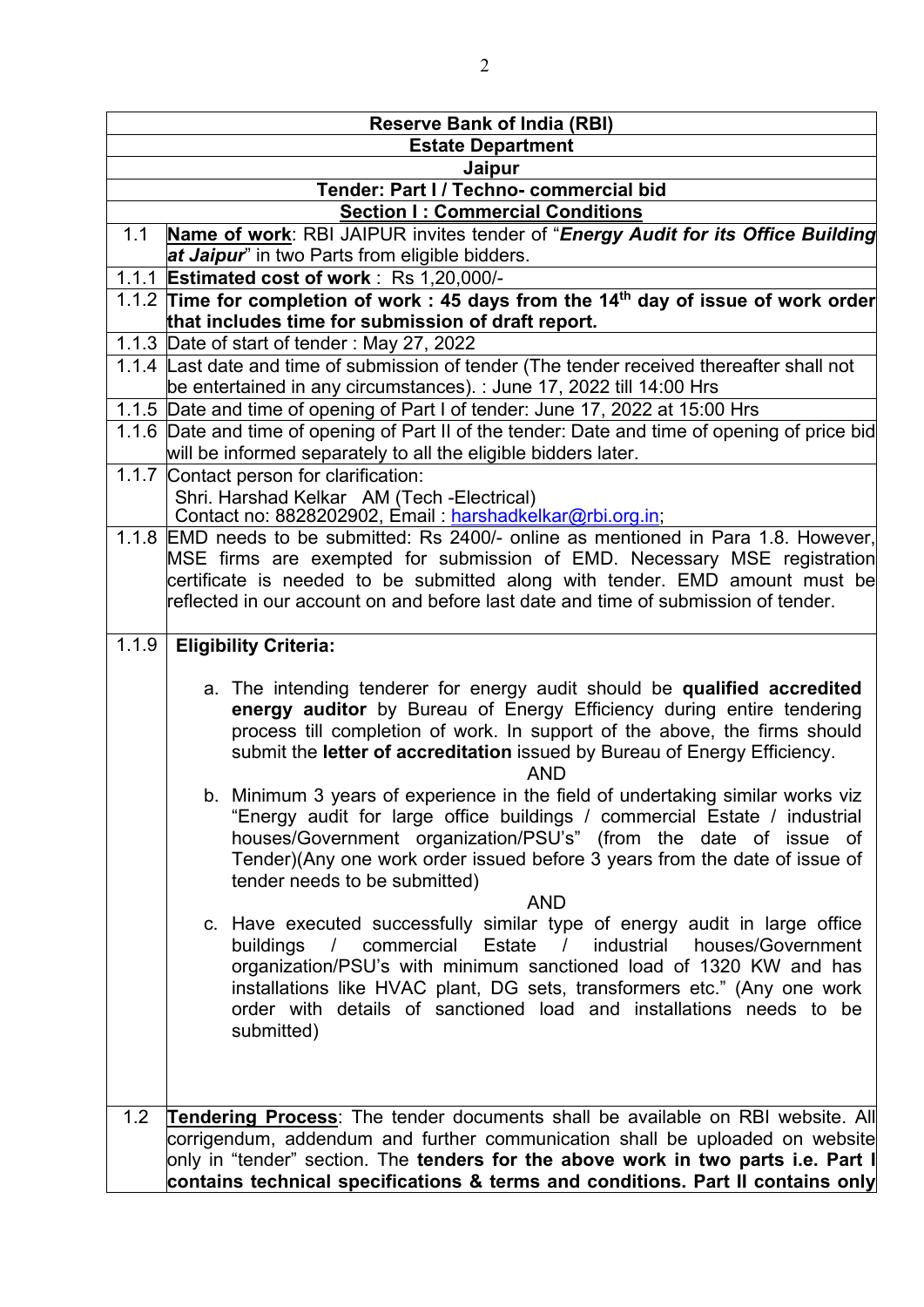|       | <b>Reserve Bank of India (RBI)</b>                                                                                                                                |
|-------|-------------------------------------------------------------------------------------------------------------------------------------------------------------------|
|       | <b>Estate Department</b>                                                                                                                                          |
|       | Jaipur                                                                                                                                                            |
|       | Tender: Part I / Techno- commercial bid                                                                                                                           |
|       | <b>Section I: Commercial Conditions</b>                                                                                                                           |
| 1.1   | Name of work: RBI JAIPUR invites tender of "Energy Audit for its Office Building<br>at Jaipur" in two Parts from eligible bidders.                                |
|       | 1.1.1 Estimated cost of work: Rs 1,20,000/-                                                                                                                       |
|       | 1.1.2 Time for completion of work : 45 days from the 14 <sup>th</sup> day of issue of work order                                                                  |
|       | that includes time for submission of draft report.                                                                                                                |
|       | 1.1.3 Date of start of tender: May 27, 2022                                                                                                                       |
|       | 1.1.4 Last date and time of submission of tender (The tender received thereafter shall not                                                                        |
|       | be entertained in any circumstances). : June 17, 2022 till 14:00 Hrs                                                                                              |
|       | 1.1.5 Date and time of opening of Part I of tender: June 17, 2022 at 15:00 Hrs                                                                                    |
|       | 1.1.6 Date and time of opening of Part II of the tender: Date and time of opening of price bid                                                                    |
|       | will be informed separately to all the eligible bidders later.                                                                                                    |
| 1.1.7 | Contact person for clarification:                                                                                                                                 |
|       | Shri. Harshad Kelkar AM (Tech -Electrical)<br>Contact no: 8828202902, Email : harshadkelkar@rbi.org.in;                                                           |
|       |                                                                                                                                                                   |
|       | 1.1.8 EMD needs to be submitted: Rs 2400/- online as mentioned in Para 1.8. However,<br>MSE firms are exempted for submission of EMD. Necessary MSE registration  |
|       | certificate is needed to be submitted along with tender. EMD amount must be                                                                                       |
|       | reflected in our account on and before last date and time of submission of tender.                                                                                |
|       |                                                                                                                                                                   |
| 1.1.9 | <b>Eligibility Criteria:</b>                                                                                                                                      |
|       |                                                                                                                                                                   |
|       | a. The intending tenderer for energy audit should be qualified accredited                                                                                         |
|       | energy auditor by Bureau of Energy Efficiency during entire tendering                                                                                             |
|       | process till completion of work. In support of the above, the firms should                                                                                        |
|       | submit the letter of accreditation issued by Bureau of Energy Efficiency.                                                                                         |
|       | <b>AND</b>                                                                                                                                                        |
|       | b. Minimum 3 years of experience in the field of undertaking similar works viz                                                                                    |
|       | "Energy audit for large office buildings / commercial Estate / industrial<br>houses/Government organization/PSU's" (from the date of issue of                     |
|       | Tender)(Any one work order issued before 3 years from the date of issue of                                                                                        |
|       | tender needs to be submitted)                                                                                                                                     |
|       | <b>AND</b>                                                                                                                                                        |
|       | c. Have executed successfully similar type of energy audit in large office                                                                                        |
|       | buildings / commercial Estate / industrial houses/Government                                                                                                      |
|       | organization/PSU's with minimum sanctioned load of 1320 KW and has                                                                                                |
|       | installations like HVAC plant, DG sets, transformers etc." (Any one work                                                                                          |
|       | order with details of sanctioned load and installations needs to be                                                                                               |
|       | submitted)                                                                                                                                                        |
|       |                                                                                                                                                                   |
|       |                                                                                                                                                                   |
|       |                                                                                                                                                                   |
| 1.2   | <b>Tendering Process:</b> The tender documents shall be available on RBI website. All                                                                             |
|       | corrigendum, addendum and further communication shall be uploaded on website<br>only in "tender" section. The tenders for the above work in two parts i.e. Part I |
|       | contains technical specifications & terms and conditions. Part II contains only                                                                                   |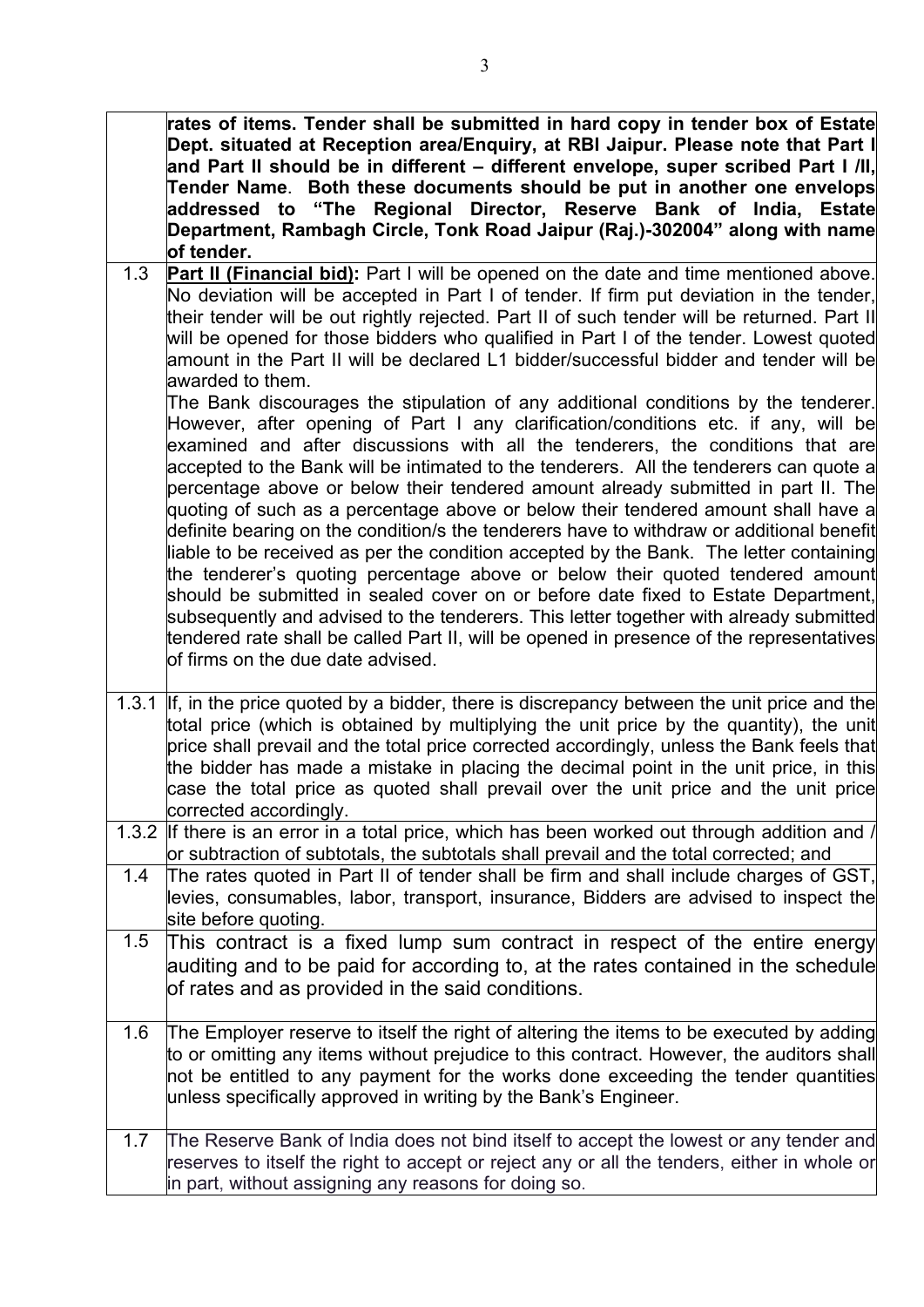**rates of items. Tender shall be submitted in hard copy in tender box of Estate Dept. situated at Reception area/Enquiry, at RBI Jaipur. Please note that Part I and Part II should be in different – different envelope, super scribed Part I /II, Tender Name**. **Both these documents should be put in another one envelops addressed to "The Regional Director, Reserve Bank of India, Estate Department, Rambagh Circle, Tonk Road Jaipur (Raj.)-302004" along with name of tender.**

1.3 **Part II (Financial bid):** Part I will be opened on the date and time mentioned above. No deviation will be accepted in Part I of tender. If firm put deviation in the tender, their tender will be out rightly rejected. Part II of such tender will be returned. Part II will be opened for those bidders who qualified in Part I of the tender. Lowest quoted amount in the Part II will be declared L1 bidder/successful bidder and tender will be awarded to them.

The Bank discourages the stipulation of any additional conditions by the tenderer. However, after opening of Part I any clarification/conditions etc. if any, will be examined and after discussions with all the tenderers, the conditions that are accepted to the Bank will be intimated to the tenderers. All the tenderers can quote a percentage above or below their tendered amount already submitted in part II. The quoting of such as a percentage above or below their tendered amount shall have a definite bearing on the condition/s the tenderers have to withdraw or additional benefit liable to be received as per the condition accepted by the Bank. The letter containing the tenderer's quoting percentage above or below their quoted tendered amount should be submitted in sealed cover on or before date fixed to Estate Department, subsequently and advised to the tenderers. This letter together with already submitted tendered rate shall be called Part II, will be opened in presence of the representatives  $\overline{\mathsf{b}}$ firms on the due date advised.

- 1.3.1 If, in the price quoted by a bidder, there is discrepancy between the unit price and the total price (which is obtained by multiplying the unit price by the quantity), the unit price shall prevail and the total price corrected accordingly, unless the Bank feels that the bidder has made a mistake in placing the decimal point in the unit price, in this case the total price as quoted shall prevail over the unit price and the unit price corrected accordingly.
- 1.3.2 If there is an error in a total price, which has been worked out through addition and / or subtraction of subtotals, the subtotals shall prevail and the total corrected; and
- 1.4 The rates quoted in Part II of tender shall be firm and shall include charges of GST, levies, consumables, labor, transport, insurance, Bidders are advised to inspect the site before quoting.
- 1.5 This contract is a fixed lump sum contract in respect of the entire energy auditing and to be paid for according to, at the rates contained in the schedule of rates and as provided in the said conditions.
- 1.6 The Employer reserve to itself the right of altering the items to be executed by adding to or omitting any items without prejudice to this contract. However, the auditors shall not be entitled to any payment for the works done exceeding the tender quantities unless specifically approved in writing by the Bank's Engineer.
- 1.7 The Reserve Bank of India does not bind itself to accept the lowest or any tender and reserves to itself the right to accept or reject any or all the tenders, either in whole or in part, without assigning any reasons for doing so.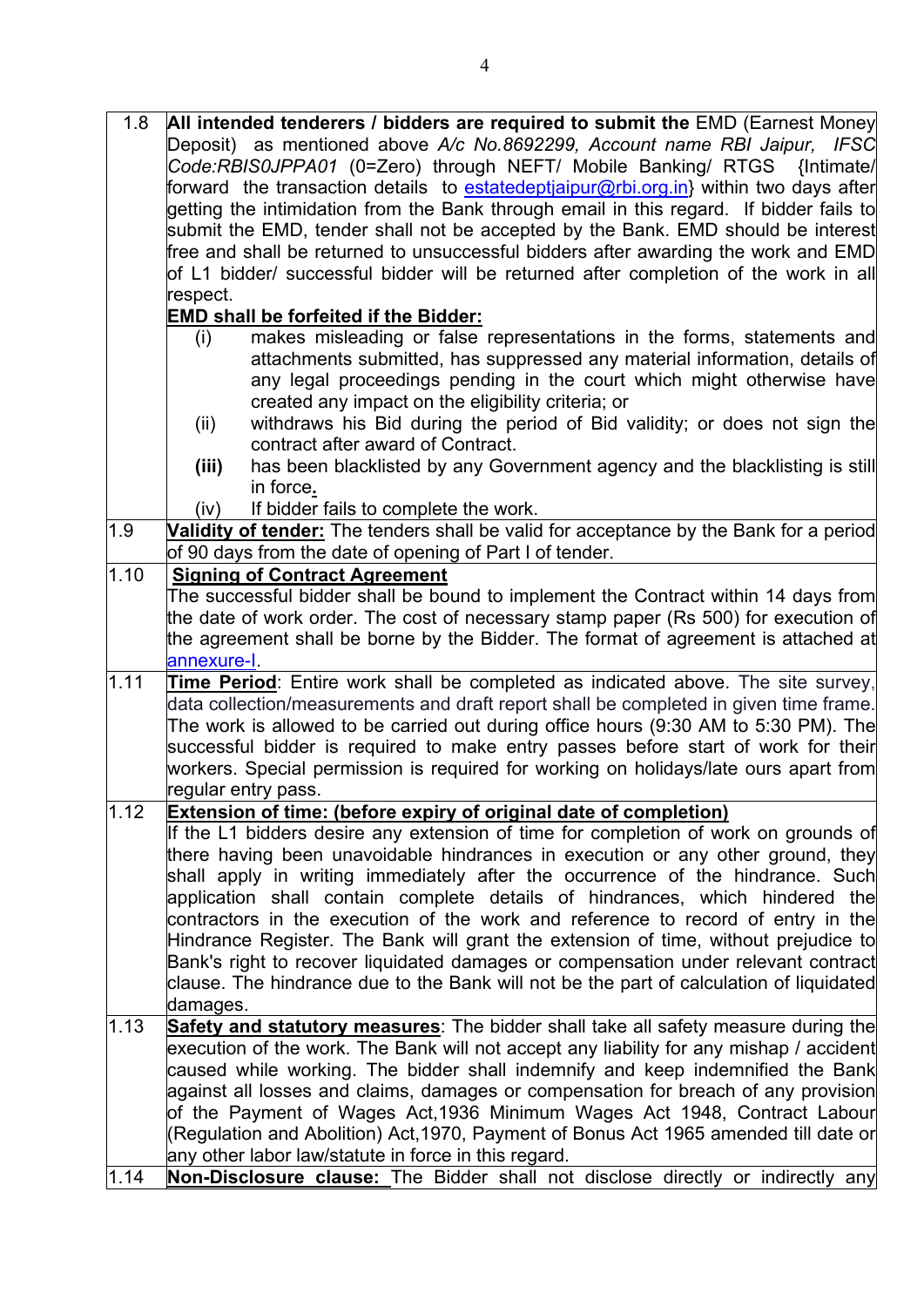| 1.8  | All intended tenderers / bidders are required to submit the EMD (Earnest Money                  |
|------|-------------------------------------------------------------------------------------------------|
|      | Deposit) as mentioned above A/c No.8692299, Account name RBI Jaipur, IFSC                       |
|      | Code:RBIS0JPPA01 (0=Zero) through NEFT/ Mobile Banking/ RTGS {Intimate/                         |
|      | forward  the transaction details  to <u>estatedeptjaipur@rbi.org.in</u> } within two days after |
|      | getting the intimidation from the Bank through email in this regard. If bidder fails to         |
|      | submit the EMD, tender shall not be accepted by the Bank. EMD should be interest                |
|      | free and shall be returned to unsuccessful bidders after awarding the work and EMD              |
|      | of L1 bidder/ successful bidder will be returned after completion of the work in all            |
|      | respect.                                                                                        |
|      | <b>EMD shall be forfeited if the Bidder:</b>                                                    |
|      | makes misleading or false representations in the forms, statements and<br>(i)                   |
|      | attachments submitted, has suppressed any material information, details of                      |
|      | any legal proceedings pending in the court which might otherwise have                           |
|      | created any impact on the eligibility criteria; or                                              |
|      | withdraws his Bid during the period of Bid validity; or does not sign the<br>(ii)               |
|      | contract after award of Contract.                                                               |
|      | has been blacklisted by any Government agency and the blacklisting is still<br>(iii)            |
|      | in force.                                                                                       |
|      | If bidder fails to complete the work.<br>(iv)                                                   |
| 1.9  | Validity of tender: The tenders shall be valid for acceptance by the Bank for a period          |
|      | of 90 days from the date of opening of Part I of tender.                                        |
| 1.10 | <b>Signing of Contract Agreement</b>                                                            |
|      | The successful bidder shall be bound to implement the Contract within 14 days from              |
|      | the date of work order. The cost of necessary stamp paper (Rs 500) for execution of             |
|      | the agreement shall be borne by the Bidder. The format of agreement is attached at              |
|      | annexure-I.                                                                                     |
| 1.11 | <b>Time Period:</b> Entire work shall be completed as indicated above. The site survey,         |
|      | data collection/measurements and draft report shall be completed in given time frame.           |
|      | The work is allowed to be carried out during office hours (9:30 AM to 5:30 PM). The             |
|      | successful bidder is required to make entry passes before start of work for their               |
|      | workers. Special permission is required for working on holidays/late ours apart from            |
|      | regular entry pass.                                                                             |
| 1.12 | Extension of time: (before expiry of original date of completion)                               |
|      | If the L1 bidders desire any extension of time for completion of work on grounds of             |
|      | there having been unavoidable hindrances in execution or any other ground, they                 |
|      | shall apply in writing immediately after the occurrence of the hindrance. Such                  |
|      | application shall contain complete details of hindrances, which hindered the                    |
|      | contractors in the execution of the work and reference to record of entry in the                |
|      | Hindrance Register. The Bank will grant the extension of time, without prejudice to             |
|      | Bank's right to recover liquidated damages or compensation under relevant contract              |
|      | clause. The hindrance due to the Bank will not be the part of calculation of liquidated         |
|      | damages.                                                                                        |
| 1.13 | Safety and statutory measures: The bidder shall take all safety measure during the              |
|      | execution of the work. The Bank will not accept any liability for any mishap / accident         |
|      | caused while working. The bidder shall indemnify and keep indemnified the Bank                  |
|      | against all losses and claims, damages or compensation for breach of any provision              |
|      | of the Payment of Wages Act,1936 Minimum Wages Act 1948, Contract Labour                        |
|      | (Regulation and Abolition) Act,1970, Payment of Bonus Act 1965 amended till date or             |
|      | any other labor law/statute in force in this regard.                                            |
| 1.14 | <b>Non-Disclosure clause:</b> The Bidder shall not disclose directly or indirectly any          |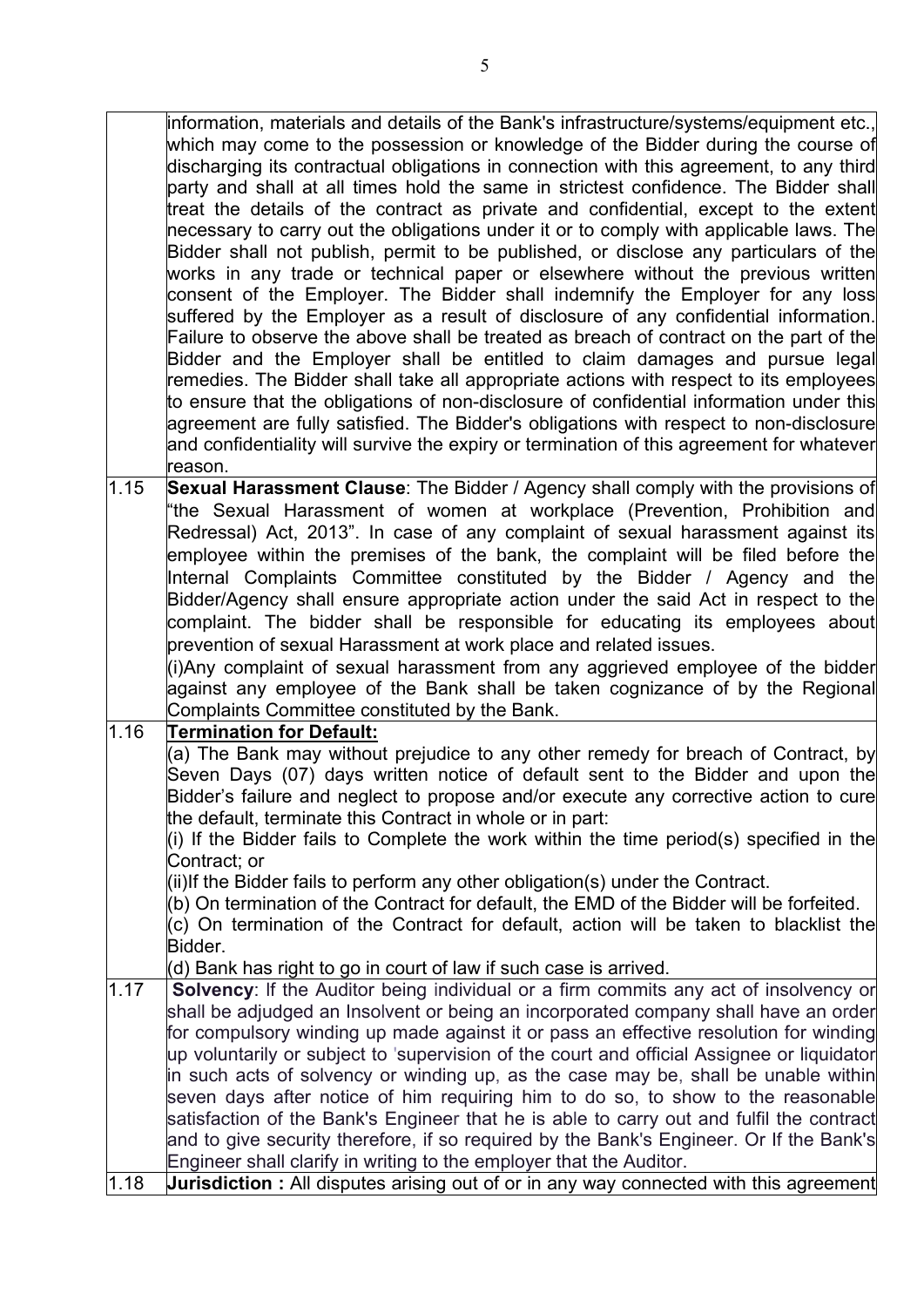information, materials and details of the Bank's infrastructure/systems/equipment etc., which may come to the possession or knowledge of the Bidder during the course of discharging its contractual obligations in connection with this agreement, to any third party and shall at all times hold the same in strictest confidence. The Bidder shall treat the details of the contract as private and confidential, except to the extent necessary to carry out the obligations under it or to comply with applicable laws. The Bidder shall not publish, permit to be published, or disclose any particulars of the works in any trade or technical paper or elsewhere without the previous written consent of the Employer. The Bidder shall indemnify the Employer for any loss suffered by the Employer as a result of disclosure of any confidential information. Failure to observe the above shall be treated as breach of contract on the part of the Bidder and the Employer shall be entitled to claim damages and pursue legal remedies. The Bidder shall take all appropriate actions with respect to its employees to ensure that the obligations of non-disclosure of confidential information under this agreement are fully satisfied. The Bidder's obligations with respect to non-disclosure and confidentiality will survive the expiry or termination of this agreement for whatever reason.

1.15 **Sexual Harassment Clause**: The Bidder / Agency shall comply with the provisions of "the Sexual Harassment of women at workplace (Prevention, Prohibition and Redressal) Act, 2013". In case of any complaint of sexual harassment against its employee within the premises of the bank, the complaint will be filed before the Internal Complaints Committee constituted by the Bidder / Agency and the Bidder/Agency shall ensure appropriate action under the said Act in respect to the complaint. The bidder shall be responsible for educating its employees about prevention of sexual Harassment at work place and related issues.

(i)Any complaint of sexual harassment from any aggrieved employee of the bidder against any employee of the Bank shall be taken cognizance of by the Regional Complaints Committee constituted by the Bank.

#### 1.16 **Termination for Default:**

(a) The Bank may without prejudice to any other remedy for breach of Contract, by Seven Days (07) days written notice of default sent to the Bidder and upon the Bidder's failure and neglect to propose and/or execute any corrective action to cure the default, terminate this Contract in whole or in part:

(i) If the Bidder fails to Complete the work within the time period(s) specified in the Contract; or

(ii)If the Bidder fails to perform any other obligation(s) under the Contract.

(b) On termination of the Contract for default, the EMD of the Bidder will be forfeited.

 $(c)$  On termination of the Contract for default, action will be taken to blacklist the Bidder.

(d) Bank has right to go in court of law if such case is arrived.

- 1.17 **Solvency**: lf the Auditor being individual or a firm commits any act of insolvency or shall be adjudged an Insolvent or being an incorporated company shall have an order for compulsory winding up made against it or pass an effective resolution for winding up voluntarily or subject to 'supervision of the court and official Assignee or liquidator in such acts of solvency or winding up, as the case may be, shall be unable within seven days after notice of him requiring him to do so, to show to the reasonable satisfaction of the Bank's Engineer that he is able to carry out and fulfil the contract and to give security therefore, if so required by the Bank's Engineer. Or If the Bank's Engineer shall clarify in writing to the employer that the Auditor.
- 1.18 **Jurisdiction :** All disputes arising out of or in any way connected with this agreement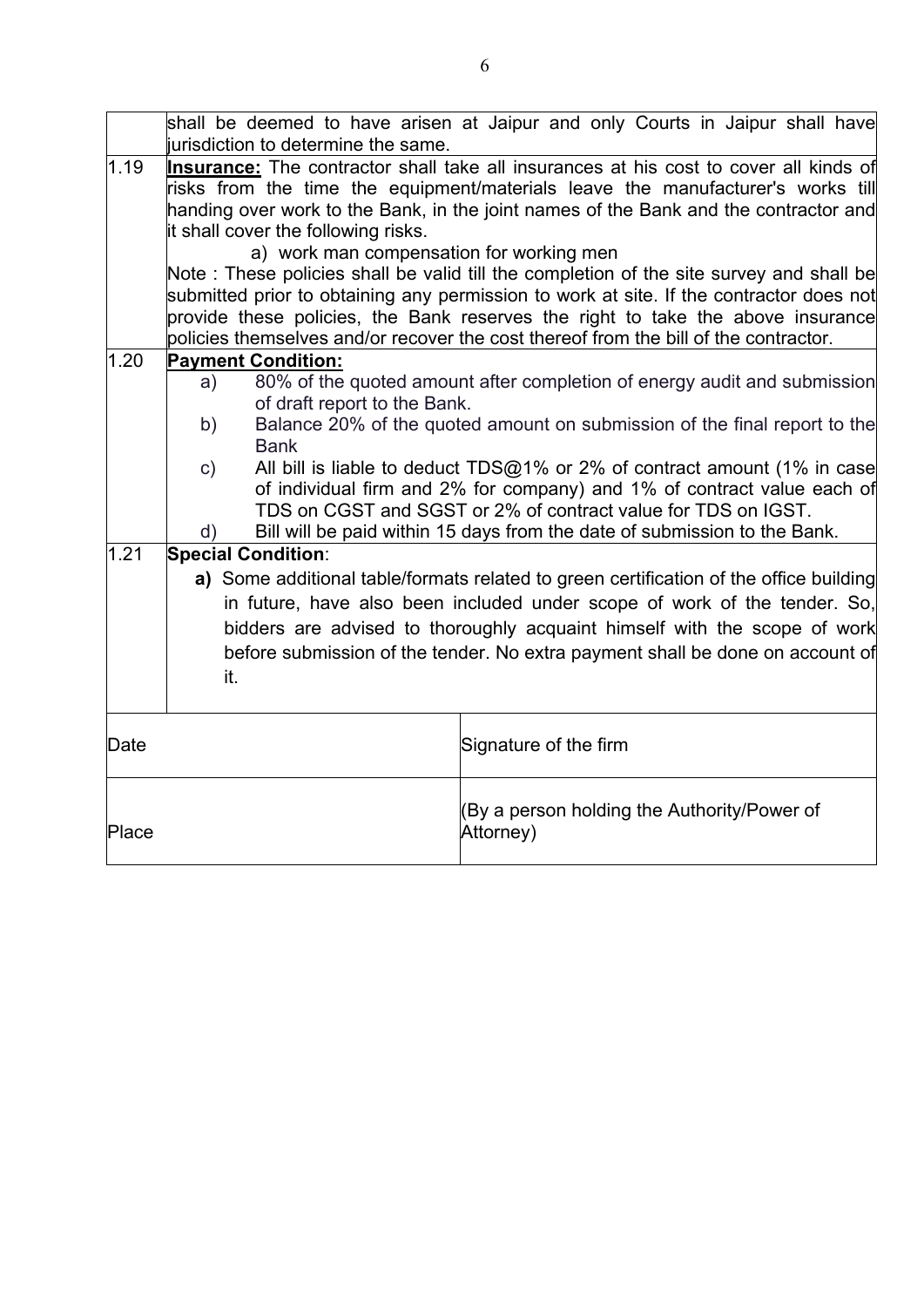|                   | shall be deemed to have arisen at Jaipur and only Courts in Jaipur shall have                                                                                                                                                                                                                                                                                                                                                                                                                                                                                                                                                |
|-------------------|------------------------------------------------------------------------------------------------------------------------------------------------------------------------------------------------------------------------------------------------------------------------------------------------------------------------------------------------------------------------------------------------------------------------------------------------------------------------------------------------------------------------------------------------------------------------------------------------------------------------------|
|                   | jurisdiction to determine the same.                                                                                                                                                                                                                                                                                                                                                                                                                                                                                                                                                                                          |
| 1.19              | Insurance: The contractor shall take all insurances at his cost to cover all kinds of<br>risks from the time the equipment/materials leave the manufacturer's works till<br>handing over work to the Bank, in the joint names of the Bank and the contractor and<br>it shall cover the following risks.<br>a) work man compensation for working men<br>Note: These policies shall be valid till the completion of the site survey and shall be<br>submitted prior to obtaining any permission to work at site. If the contractor does not<br>provide these policies, the Bank reserves the right to take the above insurance |
| 1.20              | policies themselves and/or recover the cost thereof from the bill of the contractor.                                                                                                                                                                                                                                                                                                                                                                                                                                                                                                                                         |
|                   | <b>Payment Condition:</b><br>80% of the quoted amount after completion of energy audit and submission<br>a)<br>of draft report to the Bank.<br>Balance 20% of the quoted amount on submission of the final report to the<br>b)                                                                                                                                                                                                                                                                                                                                                                                               |
|                   | <b>Bank</b>                                                                                                                                                                                                                                                                                                                                                                                                                                                                                                                                                                                                                  |
|                   | All bill is liable to deduct $TDS@1%$ or 2% of contract amount (1% in case<br>$\mathsf{c})$<br>of individual firm and 2% for company) and 1% of contract value each of<br>TDS on CGST and SGST or 2% of contract value for TDS on IGST.                                                                                                                                                                                                                                                                                                                                                                                      |
| $\overline{1}.21$ | Bill will be paid within 15 days from the date of submission to the Bank.<br>d)<br><b>Special Condition:</b>                                                                                                                                                                                                                                                                                                                                                                                                                                                                                                                 |
|                   | a) Some additional table/formats related to green certification of the office building<br>in future, have also been included under scope of work of the tender. So,<br>bidders are advised to thoroughly acquaint himself with the scope of work<br>before submission of the tender. No extra payment shall be done on account of<br>it.                                                                                                                                                                                                                                                                                     |
| Date              | Signature of the firm                                                                                                                                                                                                                                                                                                                                                                                                                                                                                                                                                                                                        |
| Place             | (By a person holding the Authority/Power of<br>Attorney)                                                                                                                                                                                                                                                                                                                                                                                                                                                                                                                                                                     |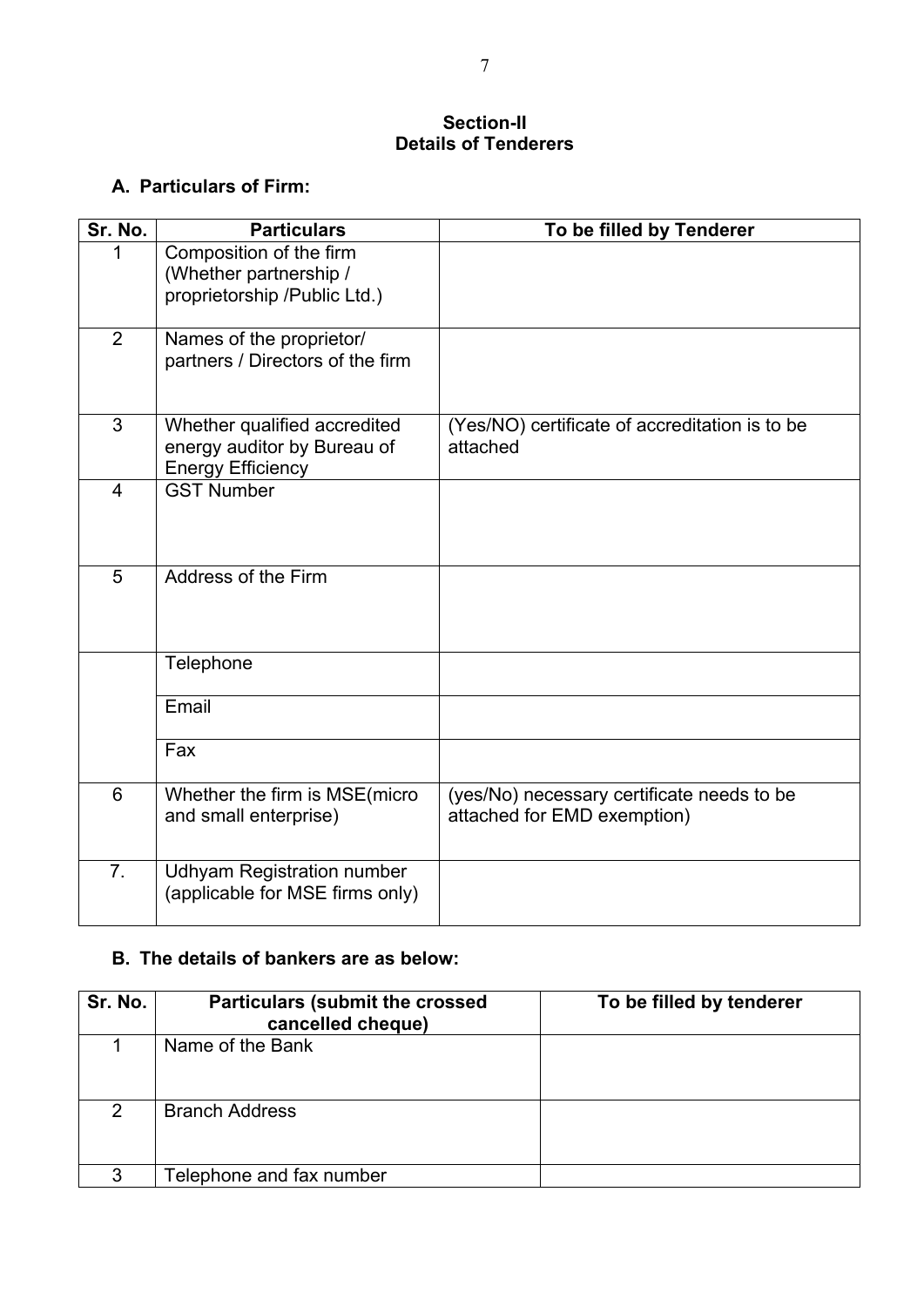#### **Section-II Details of Tenderers**

### **A. Particulars of Firm:**

| Sr. No.        | <b>Particulars</b>                                                                      | To be filled by Tenderer                                                  |
|----------------|-----------------------------------------------------------------------------------------|---------------------------------------------------------------------------|
|                | Composition of the firm<br>(Whether partnership /<br>proprietorship /Public Ltd.)       |                                                                           |
| $\overline{2}$ | Names of the proprietor/<br>partners / Directors of the firm                            |                                                                           |
| 3              | Whether qualified accredited<br>energy auditor by Bureau of<br><b>Energy Efficiency</b> | (Yes/NO) certificate of accreditation is to be<br>attached                |
| $\overline{4}$ | <b>GST Number</b>                                                                       |                                                                           |
| 5              | Address of the Firm                                                                     |                                                                           |
|                | Telephone                                                                               |                                                                           |
|                | Email                                                                                   |                                                                           |
|                | Fax                                                                                     |                                                                           |
| 6              | Whether the firm is MSE(micro<br>and small enterprise)                                  | (yes/No) necessary certificate needs to be<br>attached for EMD exemption) |
| 7.             | <b>Udhyam Registration number</b><br>(applicable for MSE firms only)                    |                                                                           |

#### **B. The details of bankers are as below:**

| Sr. No.       | <b>Particulars (submit the crossed)</b><br>cancelled cheque) | To be filled by tenderer |
|---------------|--------------------------------------------------------------|--------------------------|
|               | Name of the Bank                                             |                          |
| $\mathcal{P}$ | <b>Branch Address</b>                                        |                          |
| 3             | Telephone and fax number                                     |                          |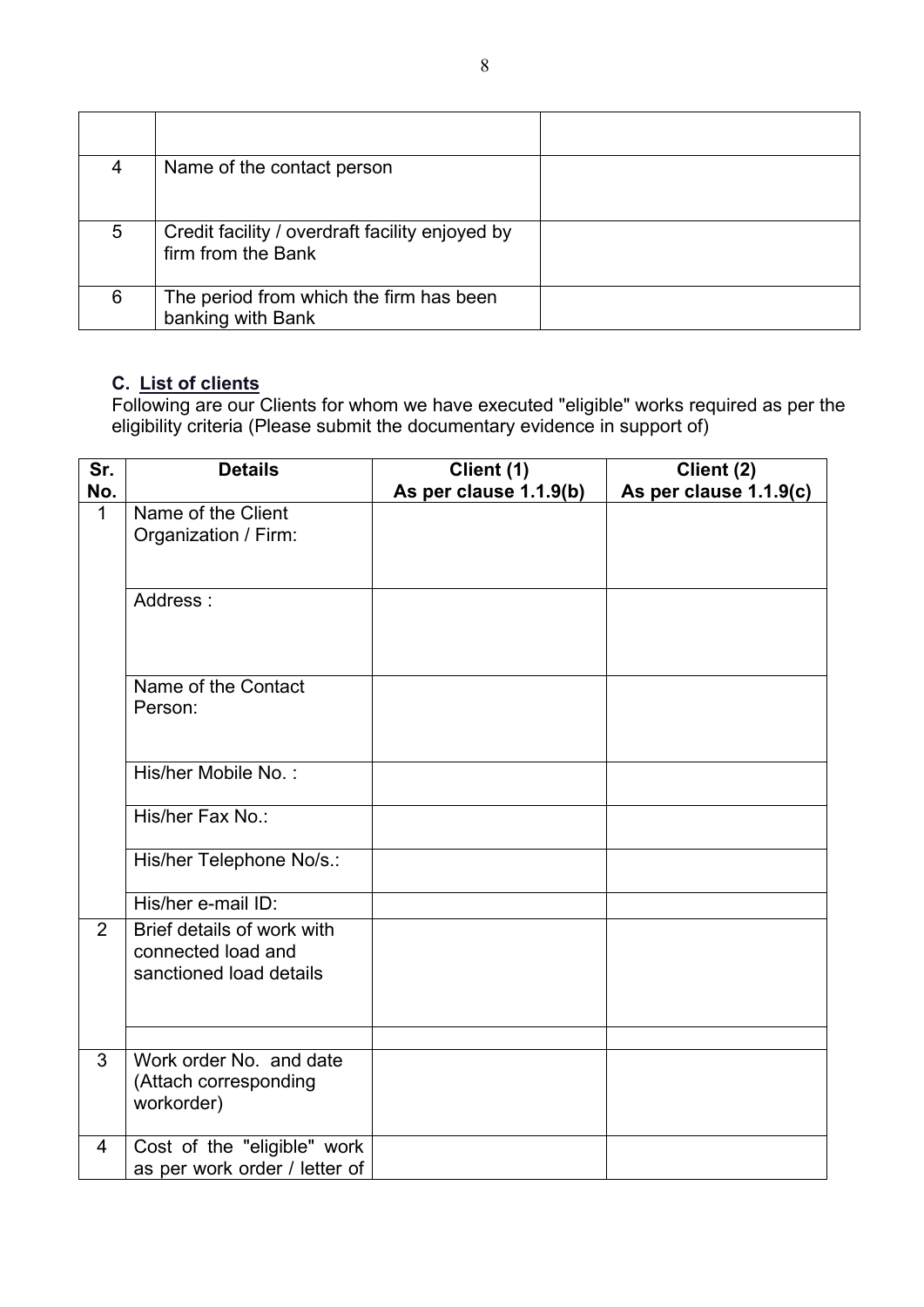| 4 | Name of the contact person                                            |  |
|---|-----------------------------------------------------------------------|--|
| 5 | Credit facility / overdraft facility enjoyed by<br>firm from the Bank |  |
| 6 | The period from which the firm has been<br>banking with Bank          |  |

#### **C. List of clients**

Following are our Clients for whom we have executed "eligible" works required as per the eligibility criteria (Please submit the documentary evidence in support of)

| Sr.            | <b>Details</b>                | Client (1)             | Client (2)             |
|----------------|-------------------------------|------------------------|------------------------|
| No.            |                               | As per clause 1.1.9(b) | As per clause 1.1.9(c) |
| $\mathbf{1}$   | Name of the Client            |                        |                        |
|                | Organization / Firm:          |                        |                        |
|                |                               |                        |                        |
|                |                               |                        |                        |
|                | Address:                      |                        |                        |
|                |                               |                        |                        |
|                |                               |                        |                        |
|                |                               |                        |                        |
|                | Name of the Contact           |                        |                        |
|                | Person:                       |                        |                        |
|                |                               |                        |                        |
|                |                               |                        |                        |
|                | His/her Mobile No.:           |                        |                        |
|                |                               |                        |                        |
|                | His/her Fax No.:              |                        |                        |
|                |                               |                        |                        |
|                | His/her Telephone No/s.:      |                        |                        |
|                |                               |                        |                        |
|                | His/her e-mail ID:            |                        |                        |
| $\overline{2}$ | Brief details of work with    |                        |                        |
|                | connected load and            |                        |                        |
|                | sanctioned load details       |                        |                        |
|                |                               |                        |                        |
|                |                               |                        |                        |
|                |                               |                        |                        |
| 3              | Work order No. and date       |                        |                        |
|                | (Attach corresponding         |                        |                        |
|                | workorder)                    |                        |                        |
|                |                               |                        |                        |
| $\overline{4}$ | Cost of the "eligible" work   |                        |                        |
|                | as per work order / letter of |                        |                        |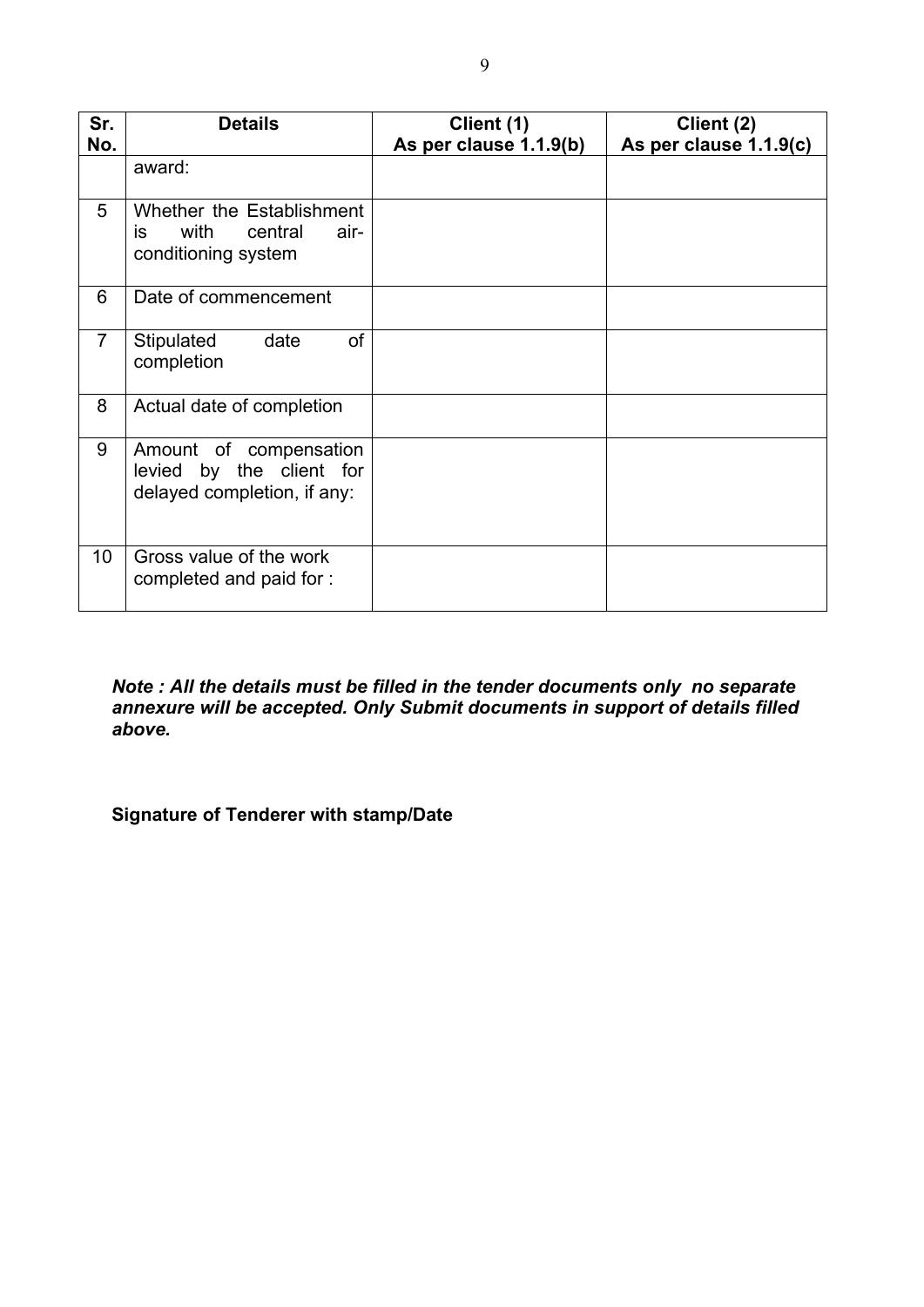| Sr.            | <b>Details</b>                                                                     | Client (1)             | Client (2)             |
|----------------|------------------------------------------------------------------------------------|------------------------|------------------------|
| No.            |                                                                                    | As per clause 1.1.9(b) | As per clause 1.1.9(c) |
|                | award:                                                                             |                        |                        |
| 5              | Whether the Establishment<br>with<br>central<br>air-<br>is.<br>conditioning system |                        |                        |
| 6              | Date of commencement                                                               |                        |                        |
| $\overline{7}$ | of<br>date<br>Stipulated<br>completion                                             |                        |                        |
| 8              | Actual date of completion                                                          |                        |                        |
| 9              | Amount of compensation<br>levied by the client for<br>delayed completion, if any:  |                        |                        |
| 10             | Gross value of the work<br>completed and paid for :                                |                        |                        |

*Note : All the details must be filled in the tender documents only no separate annexure will be accepted. Only Submit documents in support of details filled above.* 

**Signature of Tenderer with stamp/Date**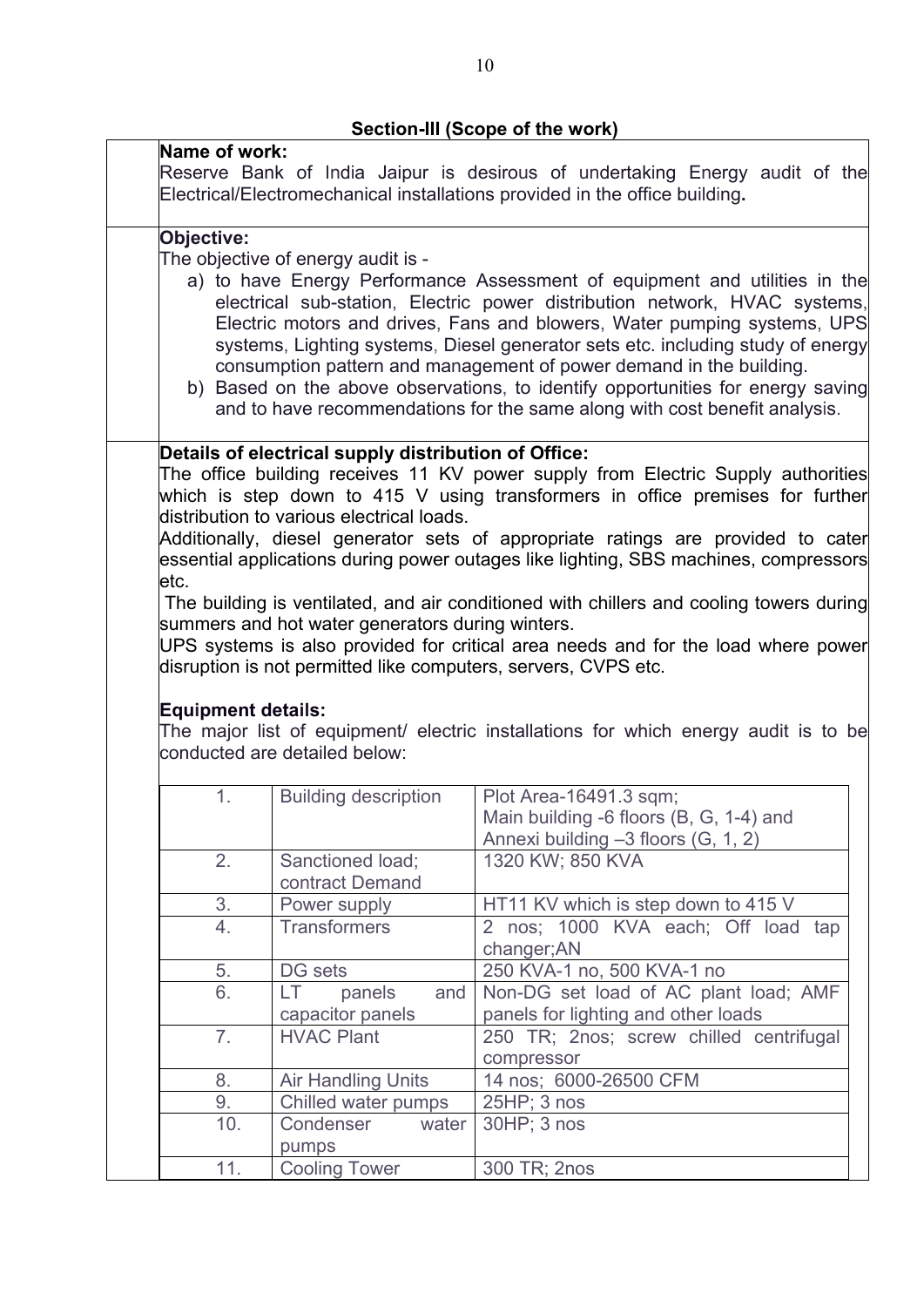|                           |                                                                | Reserve Bank of India Jaipur is desirous of undertaking Energy audit of the                                   |
|---------------------------|----------------------------------------------------------------|---------------------------------------------------------------------------------------------------------------|
|                           |                                                                | Electrical/Electromechanical installations provided in the office building.                                   |
|                           |                                                                |                                                                                                               |
| Objective:                |                                                                |                                                                                                               |
|                           | The objective of energy audit is -                             |                                                                                                               |
|                           |                                                                | a) to have Energy Performance Assessment of equipment and utilities in the                                    |
|                           |                                                                | electrical sub-station, Electric power distribution network, HVAC systems,                                    |
|                           |                                                                | Electric motors and drives, Fans and blowers, Water pumping systems, UPS                                      |
|                           |                                                                | systems, Lighting systems, Diesel generator sets etc. including study of energy                               |
|                           |                                                                | consumption pattern and management of power demand in the building.                                           |
|                           |                                                                | b) Based on the above observations, to identify opportunities for energy saving                               |
|                           |                                                                | and to have recommendations for the same along with cost benefit analysis.                                    |
|                           | Details of electrical supply distribution of Office:           |                                                                                                               |
|                           |                                                                | The office building receives 11 KV power supply from Electric Supply authorities                              |
|                           |                                                                | which is step down to 415 V using transformers in office premises for further                                 |
|                           | distribution to various electrical loads.                      |                                                                                                               |
|                           |                                                                | Additionally, diesel generator sets of appropriate ratings are provided to cater                              |
|                           |                                                                | essential applications during power outages like lighting, SBS machines, compressors                          |
| etc.                      |                                                                |                                                                                                               |
|                           |                                                                | The building is ventilated, and air conditioned with chillers and cooling towers during                       |
|                           | summers and hot water generators during winters.               |                                                                                                               |
|                           |                                                                | UPS systems is also provided for critical area needs and for the load where power                             |
|                           | disruption is not permitted like computers, servers, CVPS etc. |                                                                                                               |
|                           |                                                                |                                                                                                               |
| <b>Equipment details:</b> |                                                                |                                                                                                               |
|                           |                                                                |                                                                                                               |
|                           |                                                                |                                                                                                               |
|                           | conducted are detailed below:                                  |                                                                                                               |
|                           |                                                                |                                                                                                               |
| 1.                        | <b>Building description</b>                                    | The major list of equipment/ electric installations for which energy audit is to be<br>Plot Area-16491.3 sqm; |
|                           |                                                                | Main building -6 floors (B, G, 1-4) and                                                                       |
|                           |                                                                |                                                                                                               |
| 2.                        | Sanctioned load;                                               | Annexi building -3 floors (G, 1, 2)<br>1320 KW; 850 KVA                                                       |
|                           | contract Demand                                                |                                                                                                               |
|                           | Power supply                                                   | HT11 KV which is step down to 415 V                                                                           |
| 3.<br>4.                  |                                                                |                                                                                                               |
|                           | <b>Transformers</b>                                            | 2 nos; 1000 KVA each; Off load tap                                                                            |
|                           |                                                                | changer; AN                                                                                                   |
| 5.                        | DG sets                                                        | 250 KVA-1 no, 500 KVA-1 no                                                                                    |
| 6.                        | LT.<br>panels<br>and                                           | Non-DG set load of AC plant load; AMF                                                                         |
|                           | capacitor panels                                               | panels for lighting and other loads                                                                           |
| 7.                        | <b>HVAC Plant</b>                                              | 250 TR; 2nos; screw chilled centrifugal                                                                       |
|                           |                                                                | compressor                                                                                                    |
| 8.                        | <b>Air Handling Units</b>                                      | 14 nos; 6000-26500 CFM                                                                                        |
| 9.                        | Chilled water pumps                                            | 25HP; 3 nos                                                                                                   |
| 10.                       | Condenser<br>water                                             | 30HP; 3 nos                                                                                                   |
| 11.                       | pumps<br><b>Cooling Tower</b>                                  | 300 TR; 2nos                                                                                                  |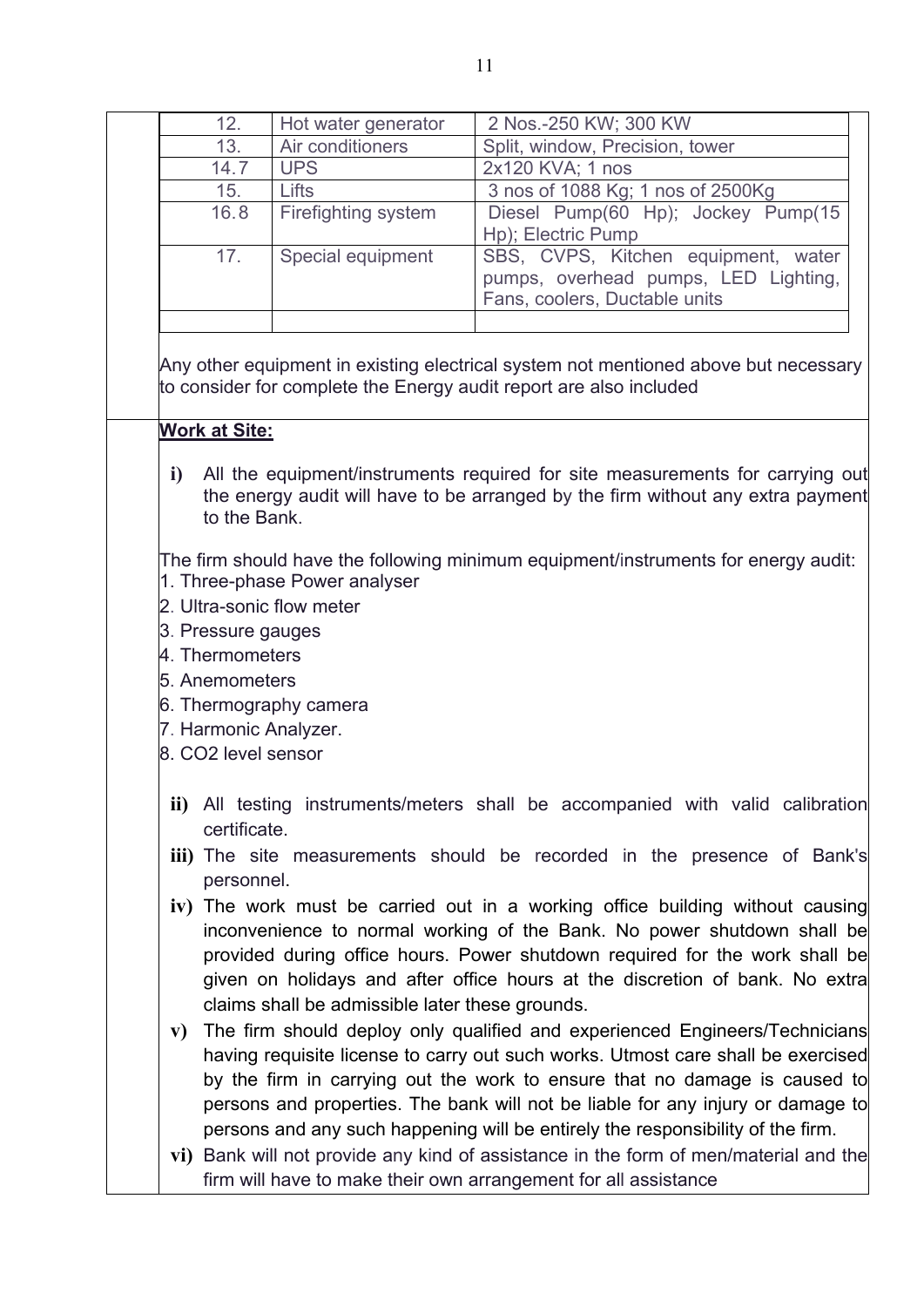| 12.                                   | Hot water generator                             | 2 Nos.-250 KW; 300 KW                                                                                                                                                   |
|---------------------------------------|-------------------------------------------------|-------------------------------------------------------------------------------------------------------------------------------------------------------------------------|
| 13.                                   | Air conditioners                                | Split, window, Precision, tower                                                                                                                                         |
| 14.7                                  | <b>UPS</b>                                      | 2x120 KVA; 1 nos                                                                                                                                                        |
| 15.                                   | Lifts                                           | 3 nos of 1088 Kg; 1 nos of 2500Kg                                                                                                                                       |
| 16.8                                  | Firefighting system                             | Diesel Pump(60 Hp); Jockey Pump(15<br>Hp); Electric Pump                                                                                                                |
| 17.                                   | Special equipment                               | SBS, CVPS, Kitchen equipment, water                                                                                                                                     |
|                                       |                                                 | pumps, overhead pumps, LED Lighting,                                                                                                                                    |
|                                       |                                                 | Fans, coolers, Ductable units                                                                                                                                           |
|                                       |                                                 | Any other equipment in existing electrical system not mentioned above but necessary<br>to consider for complete the Energy audit report are also included               |
| Work at Site:                         |                                                 |                                                                                                                                                                         |
| i)<br>to the Bank.                    |                                                 | All the equipment/instruments required for site measurements for carrying out<br>the energy audit will have to be arranged by the firm without any extra payment        |
|                                       |                                                 |                                                                                                                                                                         |
|                                       |                                                 | The firm should have the following minimum equipment/instruments for energy audit:                                                                                      |
|                                       | 1. Three-phase Power analyser                   |                                                                                                                                                                         |
|                                       |                                                 |                                                                                                                                                                         |
|                                       | 2. Ultra-sonic flow meter                       |                                                                                                                                                                         |
|                                       |                                                 |                                                                                                                                                                         |
| 3. Pressure gauges<br>4. Thermometers |                                                 |                                                                                                                                                                         |
|                                       |                                                 |                                                                                                                                                                         |
| 5. Anemometers                        |                                                 |                                                                                                                                                                         |
|                                       | 6. Thermography camera                          |                                                                                                                                                                         |
| 7. Harmonic Analyzer.                 |                                                 |                                                                                                                                                                         |
| 8. CO2 level sensor                   |                                                 |                                                                                                                                                                         |
| certificate.                          |                                                 | ii) All testing instruments/meters shall be accompanied with valid calibration                                                                                          |
| personnel.                            |                                                 | iii) The site measurements should be recorded in the presence of Bank's                                                                                                 |
|                                       |                                                 |                                                                                                                                                                         |
|                                       |                                                 | iv) The work must be carried out in a working office building without causing                                                                                           |
|                                       |                                                 | inconvenience to normal working of the Bank. No power shutdown shall be                                                                                                 |
|                                       |                                                 | provided during office hours. Power shutdown required for the work shall be                                                                                             |
|                                       |                                                 | given on holidays and after office hours at the discretion of bank. No extra                                                                                            |
|                                       | claims shall be admissible later these grounds. |                                                                                                                                                                         |
|                                       |                                                 | The firm should deploy only qualified and experienced Engineers/Technicians                                                                                             |
|                                       |                                                 | having requisite license to carry out such works. Utmost care shall be exercised                                                                                        |
|                                       |                                                 | by the firm in carrying out the work to ensure that no damage is caused to                                                                                              |
|                                       |                                                 | persons and properties. The bank will not be liable for any injury or damage to                                                                                         |
| $\mathbf{v})$                         |                                                 |                                                                                                                                                                         |
|                                       |                                                 | persons and any such happening will be entirely the responsibility of the firm.<br>vi) Bank will not provide any kind of assistance in the form of men/material and the |
|                                       |                                                 |                                                                                                                                                                         |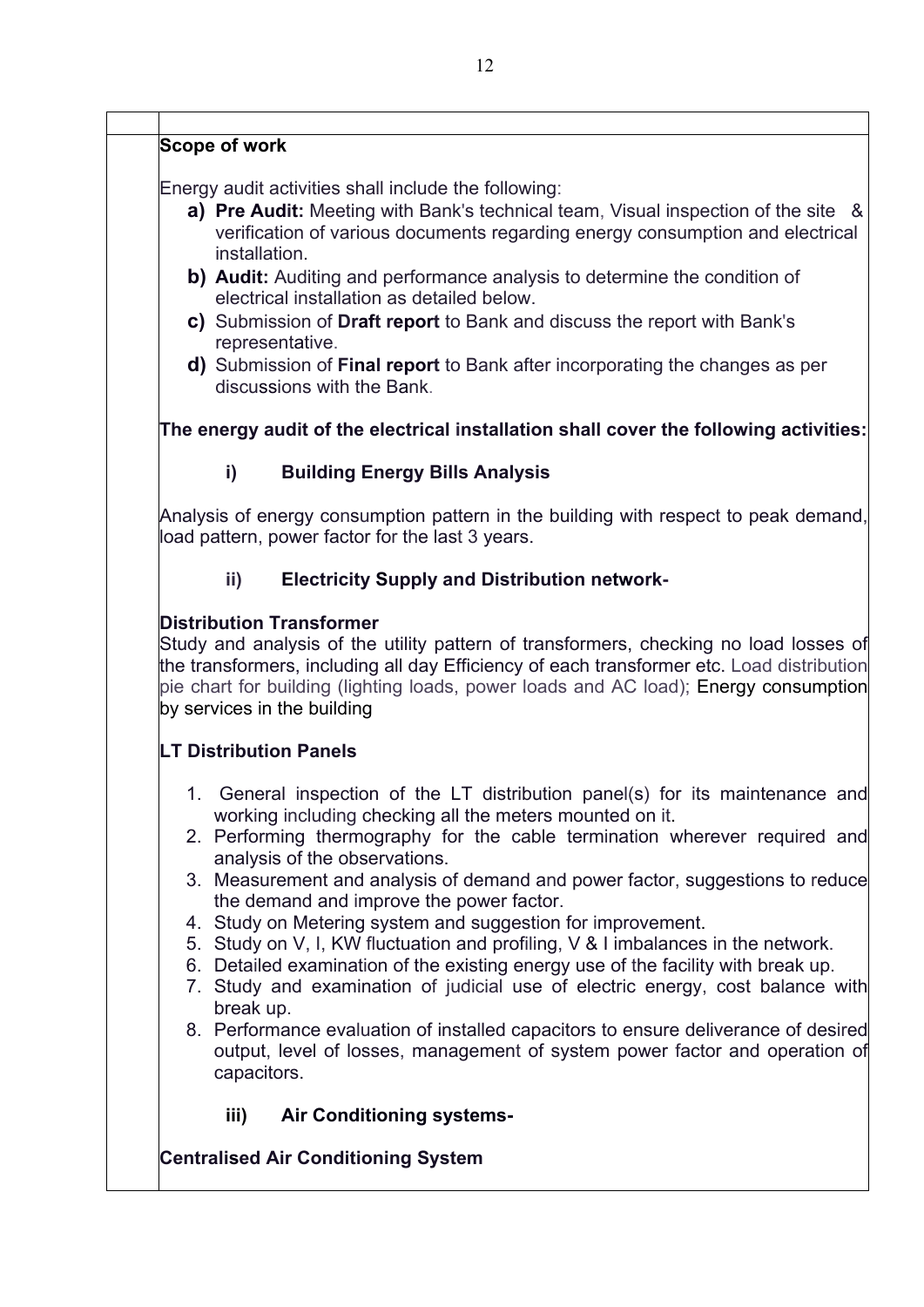#### **Scope of work**

Energy audit activities shall include the following:

- **a) Pre Audit:** Meeting with Bank's technical team, Visual inspection of the site & verification of various documents regarding energy consumption and electrical installation.
- **b) Audit:** Auditing and performance analysis to determine the condition of electrical installation as detailed below.
- **c)** Submission of **Draft report** to Bank and discuss the report with Bank's representative.
- **d)** Submission of **Final report** to Bank after incorporating the changes as per discussions with the Bank.

**The energy audit of the electrical installation shall cover the following activities:**

#### **i) Building Energy Bills Analysis**

Analysis of energy consumption pattern in the building with respect to peak demand, load pattern, power factor for the last 3 years.

#### **ii) Electricity Supply and Distribution network-**

#### **Distribution Transformer**

Study and analysis of the utility pattern of transformers, checking no load losses of the transformers, including all day Efficiency of each transformer etc. Load distribution pie chart for building (lighting loads, power loads and AC load); Energy consumption by services in the building

#### **LT Distribution Panels**

- 1. General inspection of the LT distribution panel(s) for its maintenance and working including checking all the meters mounted on it.
- 2. Performing thermography for the cable termination wherever required and analysis of the observations.
- 3. Measurement and analysis of demand and power factor, suggestions to reduce the demand and improve the power factor.
- 4. Study on Metering system and suggestion for improvement.
- 5. Study on V, I, KW fluctuation and profiling, V & I imbalances in the network.
- 6. Detailed examination of the existing energy use of the facility with break up.
- 7. Study and examination of judicial use of electric energy, cost balance with break up.
- 8. Performance evaluation of installed capacitors to ensure deliverance of desired output, level of losses, management of system power factor and operation of capacitors.
	- **iii) Air Conditioning systems-**

#### **Centralised Air Conditioning System**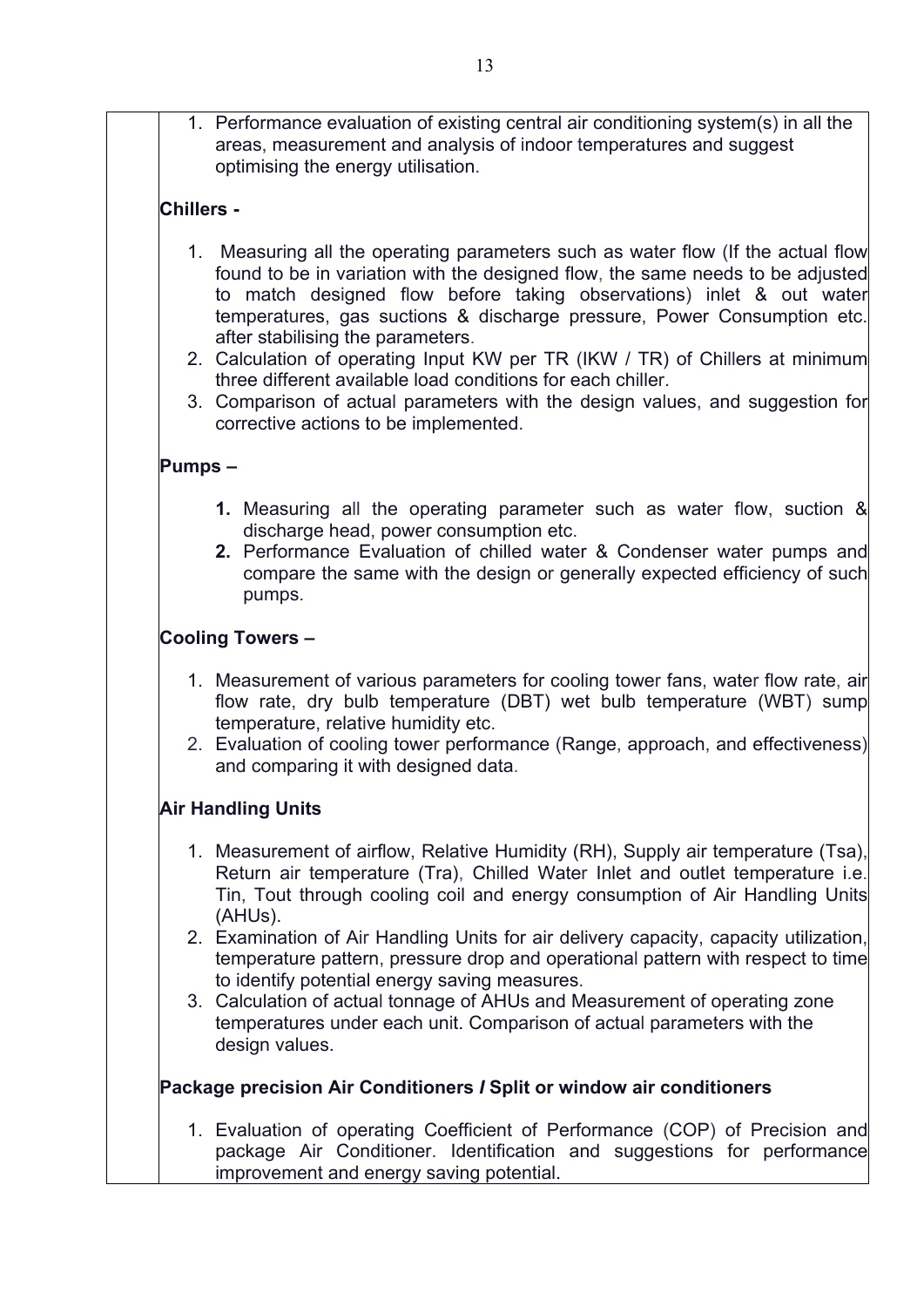1. Performance evaluation of existing central air conditioning system(s) in all the areas, measurement and analysis of indoor temperatures and suggest optimising the energy utilisation.

#### **Chillers -**

- 1. Measuring all the operating parameters such as water flow (If the actual flow found to be in variation with the designed flow, the same needs to be adjusted to match designed flow before taking observations) inlet & out water temperatures, gas suctions & discharge pressure, Power Consumption etc. after stabilising the parameters.
- 2. Calculation of operating Input KW per TR (IKW / TR) of Chillers at minimum three different available load conditions for each chiller.
- 3. Comparison of actual parameters with the design values, and suggestion for corrective actions to be implemented.

#### **Pumps –**

- **1.** Measuring all the operating parameter such as water flow, suction & discharge head, power consumption etc.
- **2.** Performance Evaluation of chilled water & Condenser water pumps and compare the same with the design or generally expected efficiency of such pumps.

#### **Cooling Towers –**

- 1. Measurement of various parameters for cooling tower fans, water flow rate, air flow rate, dry bulb temperature (DBT) wet bulb temperature (WBT) sump temperature, relative humidity etc.
- 2. Evaluation of cooling tower performance (Range, approach, and effectiveness) and comparing it with designed data.

#### **Air Handling Units**

- 1. Measurement of airflow, Relative Humidity (RH), Supply air temperature (Tsa), Return air temperature (Tra), Chilled Water Inlet and outlet temperature i.e. Tin, Tout through cooling coil and energy consumption of Air Handling Units (AHUs).
- 2. Examination of Air Handling Units for air delivery capacity, capacity utilization, temperature pattern, pressure drop and operational pattern with respect to time to identify potential energy saving measures.
- 3. Calculation of actual tonnage of AHUs and Measurement of operating zone temperatures under each unit. Comparison of actual parameters with the design values.

#### **Package precision Air Conditioners** *I* **Split or window air conditioners**

1. Evaluation of operating Coefficient of Performance (COP) of Precision and package Air Conditioner. Identification and suggestions for performance improvement and energy saving potential.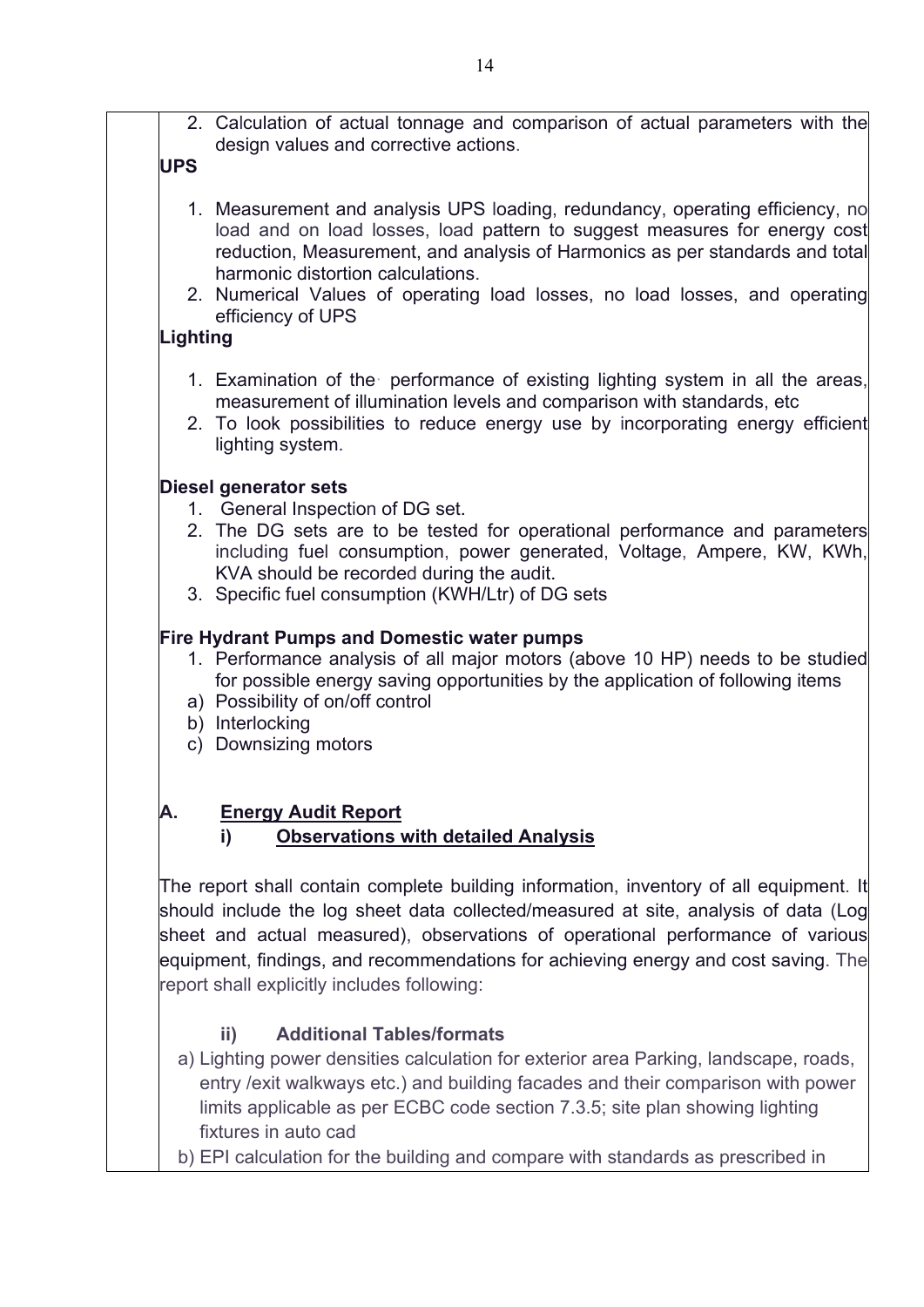2. Calculation of actual tonnage and comparison of actual parameters with the design values and corrective actions.

### **UPS**

- 1. Measurement and analysis UPS loading, redundancy, operating efficiency, no load and on load losses, load pattern to suggest measures for energy cost reduction, Measurement, and analysis of Harmonics as per standards and total harmonic distortion calculations.
- 2. Numerical Values of operating load losses, no load losses, and operating efficiency of UPS

#### **Lighting**

- 1. Examination of the· performance of existing lighting system in all the areas, measurement of illumination levels and comparison with standards, etc
- 2. To look possibilities to reduce energy use by incorporating energy efficient lighting system.

### **Diesel generator sets**

- 1. General Inspection of DG set.
- 2. The DG sets are to be tested for operational performance and parameters including fuel consumption, power generated, Voltage, Ampere, KW, KWh, KVA should be recorded during the audit.
- 3. Specific fuel consumption (KWH/Ltr) of DG sets

### **Fire Hydrant Pumps and Domestic water pumps**

- 1. Performance analysis of all major motors (above 10 HP) needs to be studied for possible energy saving opportunities by the application of following items
- a) Possibility of on/off control
- b) Interlocking
- c) Downsizing motors

### **A. Energy Audit Report**

### **i) Observations with detailed Analysis**

The report shall contain complete building information, inventory of all equipment. It should include the log sheet data collected/measured at site, analysis of data (Log sheet and actual measured), observations of operational performance of various equipment, findings, and recommendations for achieving energy and cost saving. The report shall explicitly includes following:

### **ii) Additional Tables/formats**

- a) Lighting power densities calculation for exterior area Parking, landscape, roads, entry /exit walkways etc.) and building facades and their comparison with power limits applicable as per ECBC code section 7.3.5; site plan showing lighting fixtures in auto cad
- b) EPI calculation for the building and compare with standards as prescribed in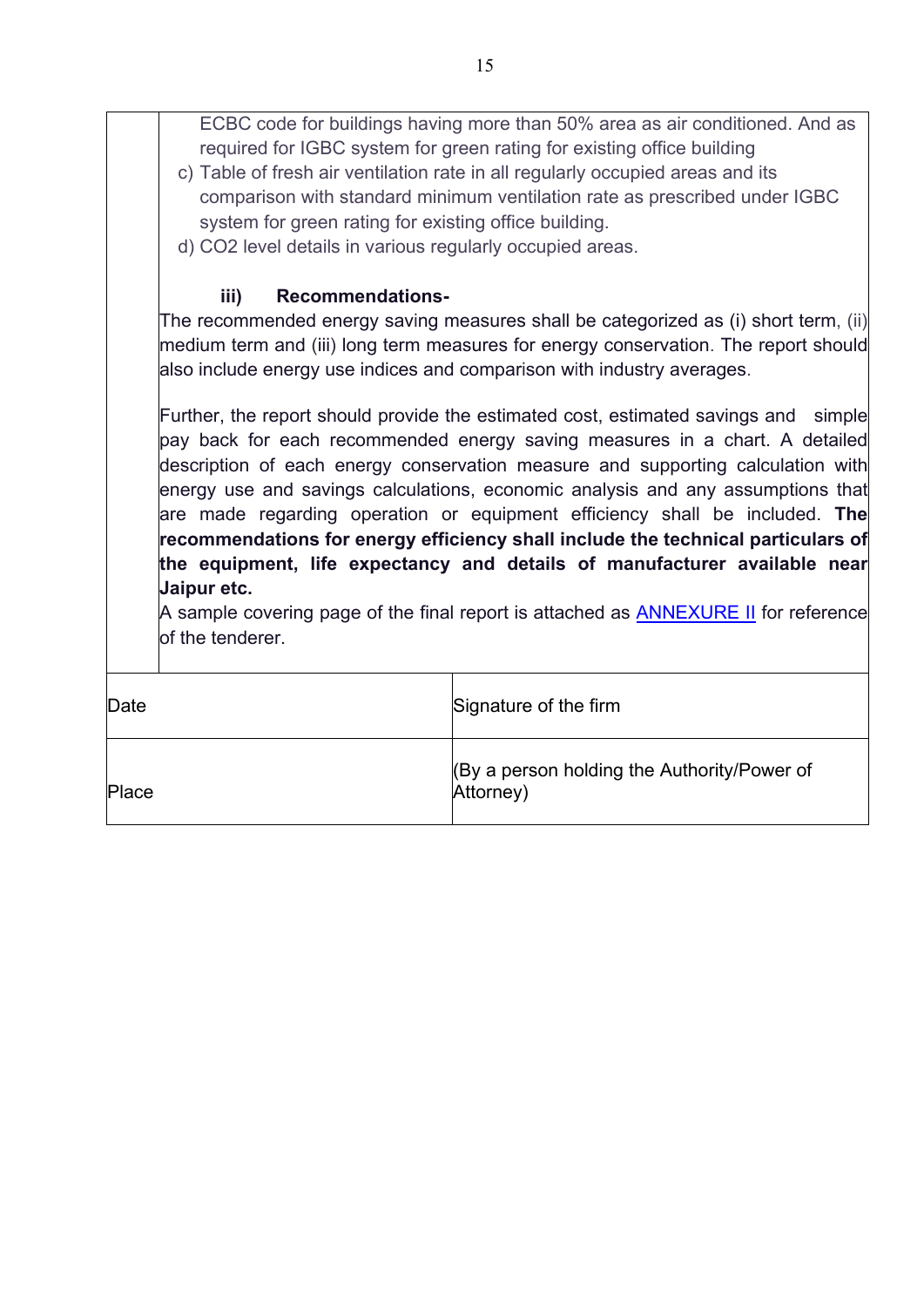|                                                                                | ECBC code for buildings having more than 50% area as air conditioned. And as<br>required for IGBC system for green rating for existing office building |  |  |  |  |
|--------------------------------------------------------------------------------|--------------------------------------------------------------------------------------------------------------------------------------------------------|--|--|--|--|
| c) Table of fresh air ventilation rate in all regularly occupied areas and its |                                                                                                                                                        |  |  |  |  |
|                                                                                |                                                                                                                                                        |  |  |  |  |
| comparison with standard minimum ventilation rate as prescribed under IGBC     |                                                                                                                                                        |  |  |  |  |
|                                                                                | system for green rating for existing office building.                                                                                                  |  |  |  |  |
|                                                                                | d) CO2 level details in various regularly occupied areas.                                                                                              |  |  |  |  |
| iii)<br><b>Recommendations-</b>                                                |                                                                                                                                                        |  |  |  |  |
|                                                                                | The recommended energy saving measures shall be categorized as (i) short term, (ii)                                                                    |  |  |  |  |
|                                                                                | medium term and (iii) long term measures for energy conservation. The report should                                                                    |  |  |  |  |
|                                                                                | also include energy use indices and comparison with industry averages.                                                                                 |  |  |  |  |
|                                                                                |                                                                                                                                                        |  |  |  |  |
|                                                                                | Further, the report should provide the estimated cost, estimated savings and<br>simple                                                                 |  |  |  |  |
|                                                                                | pay back for each recommended energy saving measures in a chart. A detailed                                                                            |  |  |  |  |
|                                                                                | description of each energy conservation measure and supporting calculation with                                                                        |  |  |  |  |
|                                                                                | energy use and savings calculations, economic analysis and any assumptions that                                                                        |  |  |  |  |
|                                                                                | are made regarding operation or equipment efficiency shall be included. The                                                                            |  |  |  |  |
|                                                                                | recommendations for energy efficiency shall include the technical particulars of                                                                       |  |  |  |  |
|                                                                                | the equipment, life expectancy and details of manufacturer available near                                                                              |  |  |  |  |
| Jaipur etc.                                                                    |                                                                                                                                                        |  |  |  |  |
|                                                                                | A sample covering page of the final report is attached as <b>ANNEXURE II</b> for reference                                                             |  |  |  |  |
| of the tenderer.                                                               |                                                                                                                                                        |  |  |  |  |
|                                                                                |                                                                                                                                                        |  |  |  |  |
| Date                                                                           | Signature of the firm                                                                                                                                  |  |  |  |  |
|                                                                                |                                                                                                                                                        |  |  |  |  |
| By a person holding the Authority/Power of                                     |                                                                                                                                                        |  |  |  |  |
| Place<br>Attorney)                                                             |                                                                                                                                                        |  |  |  |  |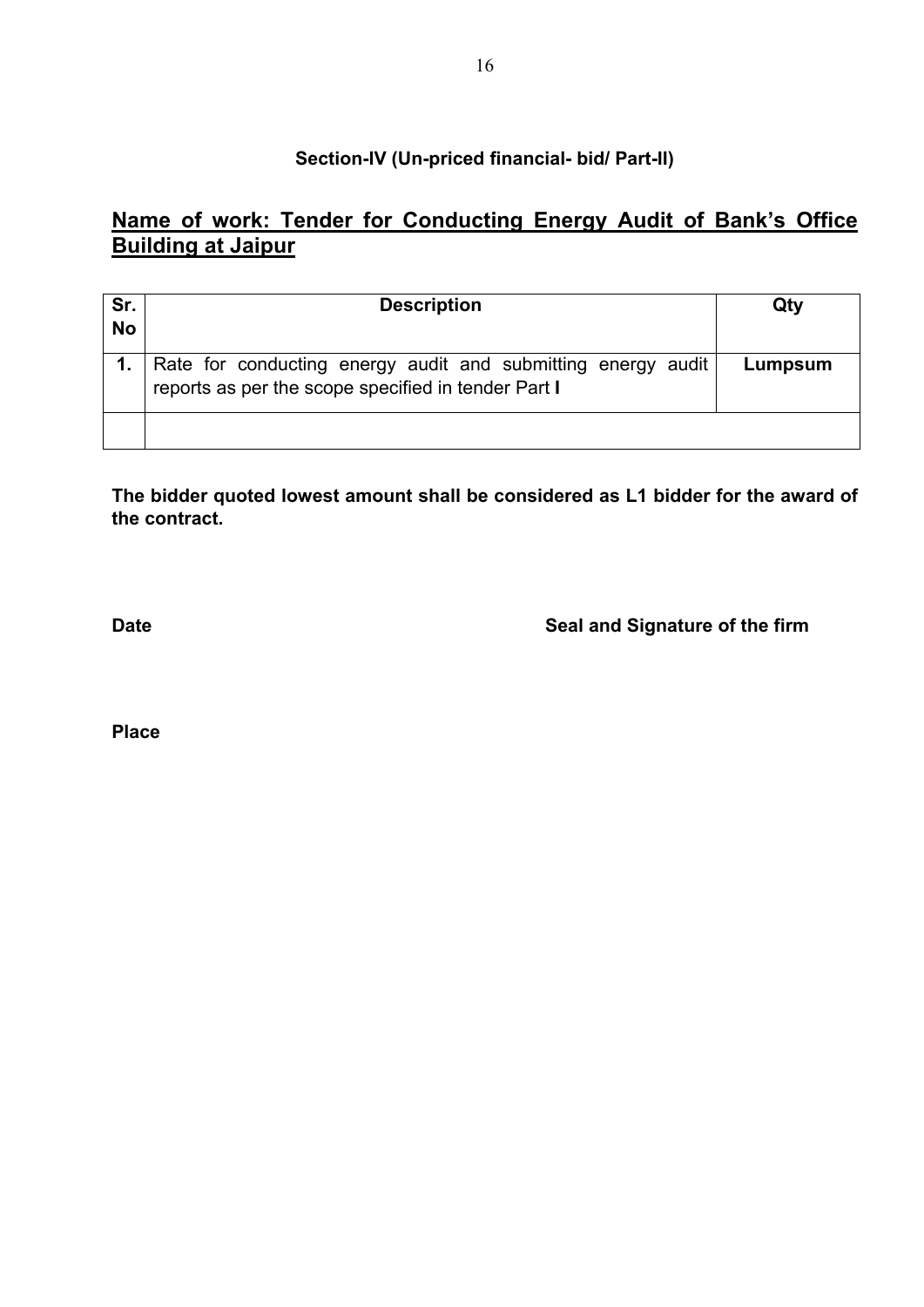#### **Section-IV (Un-priced financial- bid/ Part-II)**

## **Name of work: Tender for Conducting Energy Audit of Bank's Office Building at Jaipur**

| Sr.<br><b>No</b> | <b>Description</b>                                                                                                  | Qty     |
|------------------|---------------------------------------------------------------------------------------------------------------------|---------|
|                  | Rate for conducting energy audit and submitting energy audit<br>reports as per the scope specified in tender Part I | Lumpsum |
|                  |                                                                                                                     |         |

**The bidder quoted lowest amount shall be considered as L1 bidder for the award of the contract.**

**Date Date Seal and Signature of the firm** 

**Place**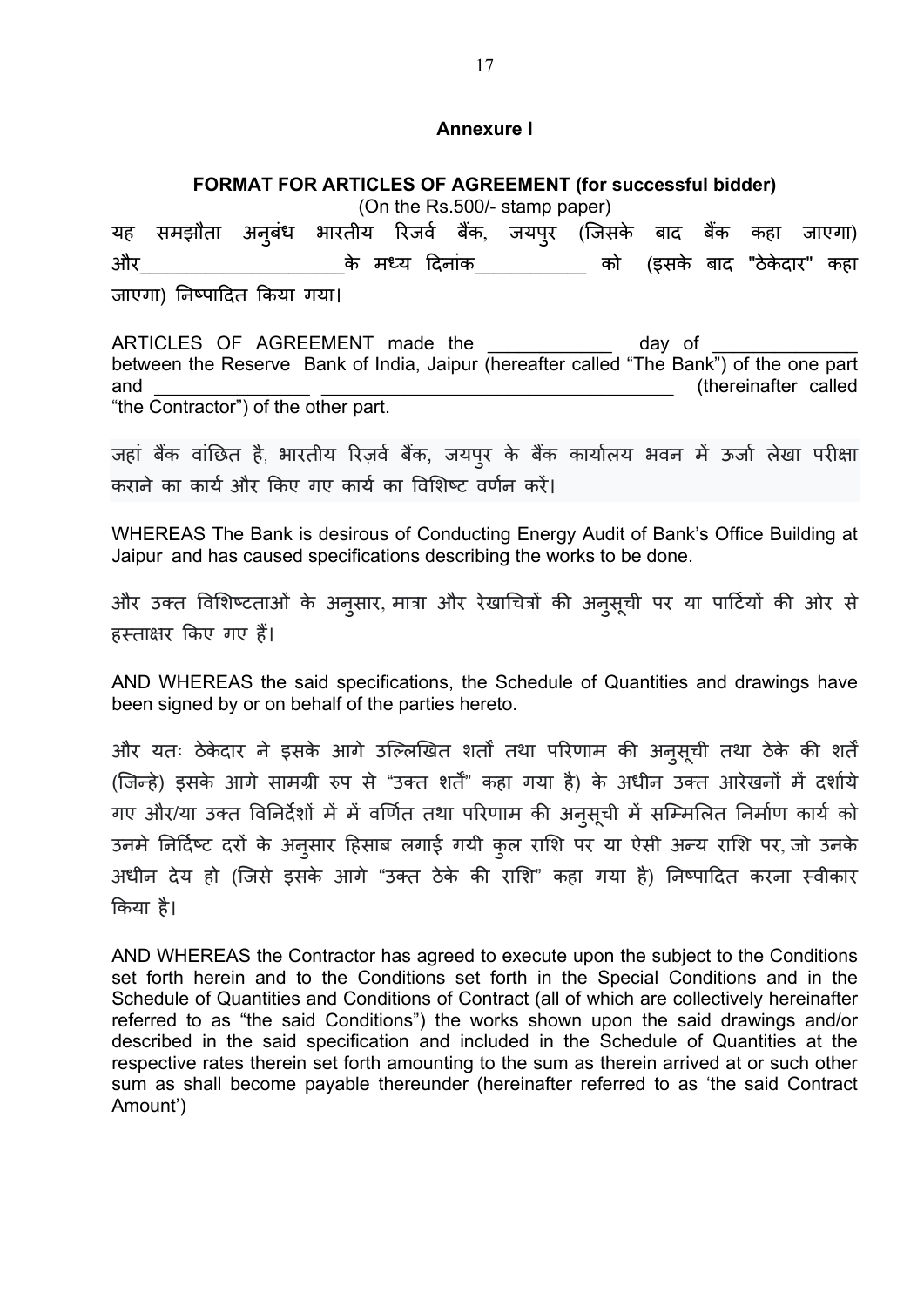#### **Annexure I**

#### **FORMAT FOR ARTICLES OF AGREEMENT (for successful bidder)**

<span id="page-17-0"></span>(On the Rs.500/- stamp paper) यह समझौता बंध भारतीय रिजवे बैक, जयपुर (जिसके बाद बैक कहा जाएगा) और के मध्य दिनांक को (इसके बाद "ठेकेदार" कहा जाएगा) �नष्पा�दत �कया गया।

ARTICLES OF AGREEMENT made the day of between the Reserve Bank of India, Jaipur (hereafter called "The Bank") of the one part and **and and and** *and and and and and and***</del> <b>***and and and and and and and and and and and and and and***</del> <b>***and and and and and* "the Contractor") of the other part.

जहां बैंक वांछित है, भारतीय रिज़र्व बैंक, जयपुर के बैंक कार्यालय भवन में ऊर्जा लेखा परीक्षा कराने का कार्य और किए गए कार्य का विशिष्ट वर्णन करें।

WHEREAS The Bank is desirous of Conducting Energy Audit of Bank's Office Building at Jaipur and has caused specifications describing the works to be done.

और उक्त विशिष्टताओं के अनुसार, मात्रा और रेखाचित्रों की अनुसूची पर या पार्टियों की ओर से हस्ताक्षर किए गए हैं।

AND WHEREAS the said specifications, the Schedule of Quantities and drawings have been signed by or on behalf of the parties hereto.

और यतः ठेकेदार ने इसके आगे उल्लिखित शतों तथा परिणाम की अनुसूची तथा ठेके की शर्त (जिन्हे) इसके आगे सामग्री रुप से "उक्त शर्तें" कहा गया है) के अधीन उक्त आरेखनों में दर्शाये गए और/या उक्त विनिर्देशों में में वर्णित तथा परिणाम की अनुसूची में सम्मिलित निर्माण कार्य को उनमें निर्दिष्ट दरों के अनुसार हिसाब लगाई गयी कुल राशि पर या ऐसी अन्य राशि पर, जो उनके अधीन देय हो (िजसे इसके आगे "उक्त ठेके क� रा�श" कहा गया है) �नष्पा�दत करना स्वीकार �कया है।

AND WHEREAS the Contractor has agreed to execute upon the subject to the Conditions set forth herein and to the Conditions set forth in the Special Conditions and in the Schedule of Quantities and Conditions of Contract (all of which are collectively hereinafter referred to as "the said Conditions") the works shown upon the said drawings and/or described in the said specification and included in the Schedule of Quantities at the respective rates therein set forth amounting to the sum as therein arrived at or such other sum as shall become payable thereunder (hereinafter referred to as 'the said Contract Amount')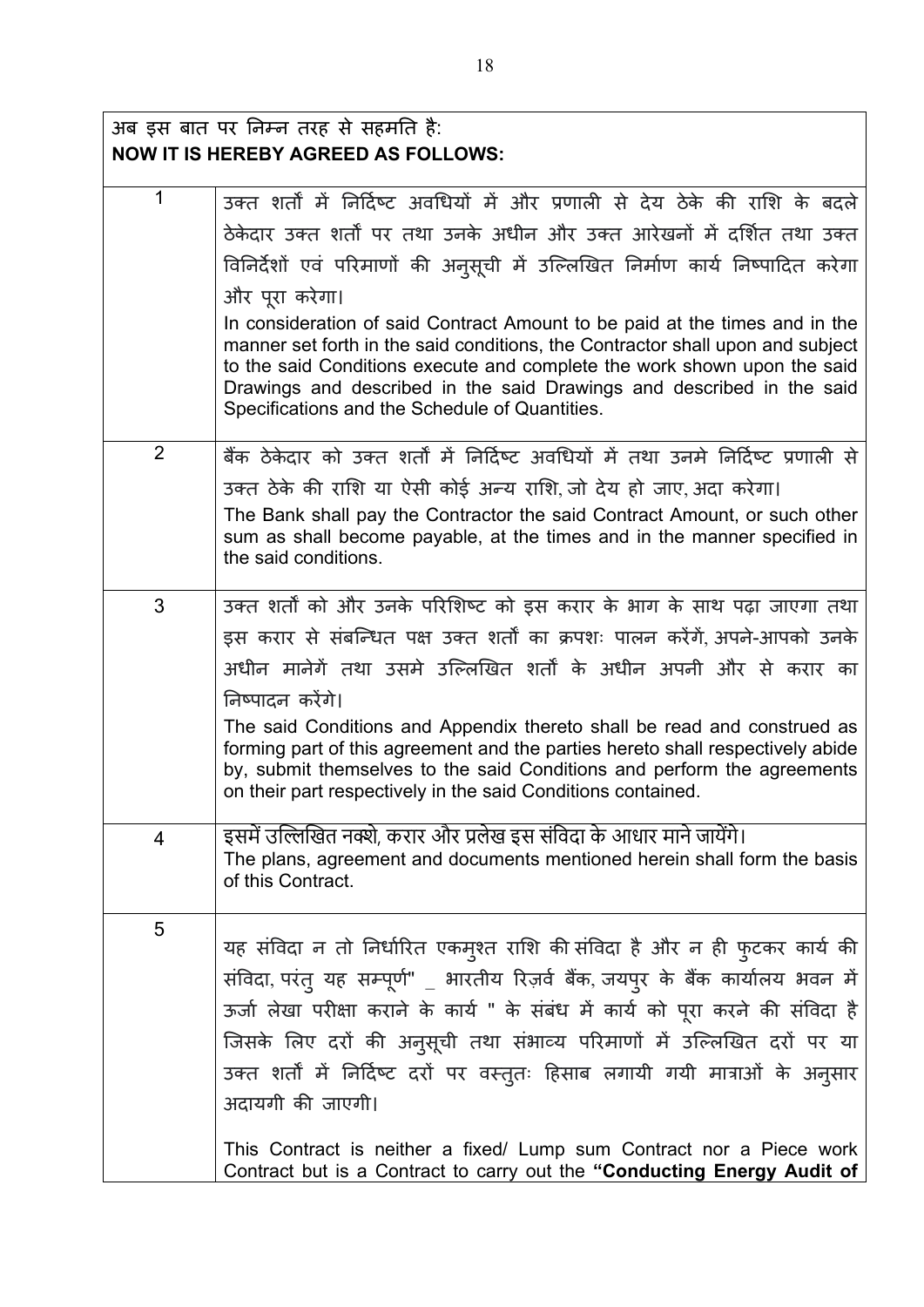## अब इस बात पर �नम्न तरह से सहम�त है: **NOW IT IS HEREBY AGREED AS FOLLOWS:**

| 1              | उक्त शर्तों में निर्दिष्ट अवधियों में और प्रणाली से देय ठेके की राशि के बदले                                                                                                                                                                                                                                                                                                                                |
|----------------|-------------------------------------------------------------------------------------------------------------------------------------------------------------------------------------------------------------------------------------------------------------------------------------------------------------------------------------------------------------------------------------------------------------|
|                | ठेकेदार उक्त शर्तों पर तथा उनके अधीन और उक्त आरेखनों में दर्शित तथा उक्त                                                                                                                                                                                                                                                                                                                                    |
|                | विनिर्देशों एवं परिमाणों की अनुसूची में उल्लिखित निर्माण कार्य निष्पादित करेगा                                                                                                                                                                                                                                                                                                                              |
|                | और पूरा करेगा।                                                                                                                                                                                                                                                                                                                                                                                              |
|                | In consideration of said Contract Amount to be paid at the times and in the<br>manner set forth in the said conditions, the Contractor shall upon and subject<br>to the said Conditions execute and complete the work shown upon the said<br>Drawings and described in the said Drawings and described in the said<br>Specifications and the Schedule of Quantities.                                        |
| 2              | बैंक ठेकेदार को उक्त शर्तों में निर्दिष्ट अवधियों में तथा उनमे निर्दिष्ट प्रणाली से                                                                                                                                                                                                                                                                                                                         |
|                | उक्त ठेके की राशि या ऐसी कोई अन्य राशि, जो देय हो जाए, अदा करेगा।                                                                                                                                                                                                                                                                                                                                           |
|                | The Bank shall pay the Contractor the said Contract Amount, or such other<br>sum as shall become payable, at the times and in the manner specified in<br>the said conditions.                                                                                                                                                                                                                               |
| 3              | उक्त शर्तों को और उनके परिशिष्ट को इस करार के भाग के साथ पढ़ा जाएगा तथा                                                                                                                                                                                                                                                                                                                                     |
|                | इस करार से संबन्धित पक्ष उक्त शर्तों का क्रपशः पालन करेंगें, अपने-आपको उनके                                                                                                                                                                                                                                                                                                                                 |
|                | अधीन मानेगें तथा उसमे उल्लिखित शर्तों के अधीन अपनी और से करार का                                                                                                                                                                                                                                                                                                                                            |
|                | निष्पादन करेंगे।                                                                                                                                                                                                                                                                                                                                                                                            |
|                | The said Conditions and Appendix thereto shall be read and construed as<br>forming part of this agreement and the parties hereto shall respectively abide<br>by, submit themselves to the said Conditions and perform the agreements<br>on their part respectively in the said Conditions contained.                                                                                                        |
| $\overline{4}$ | इसमें उल्लिखित नक्शे, करार और प्रलेख इस संविदा के आधार माने जायेंगे।<br>The plans, agreement and documents mentioned herein shall form the basis                                                                                                                                                                                                                                                            |
|                | of this Contract.                                                                                                                                                                                                                                                                                                                                                                                           |
| 5              | यह संविदा न तो निर्धारित एकम्श्त राशि की संविदा है और न ही फुटकर कार्य की<br>संविदा, परंत् यह सम्पूर्ण" _ भारतीय रिज़र्व बैंक, जयपुर के बैंक कार्यालय भवन में<br>ऊर्जा लेखा परीक्षा कराने के कार्य " के संबंध में कार्य को पूरा करने की संविदा है<br>जिसके लिए दरों की अनुसूची तथा संभाव्य परिमाणों में उल्लिखित दरों पर या<br>उक्त शर्तों में निर्दिष्ट दरों पर वस्तुतः हिसाब लगायी गयी मात्राओं के अनुसार |
|                | अदायगी की जाएगी।                                                                                                                                                                                                                                                                                                                                                                                            |
|                | This Contract is neither a fixed/ Lump sum Contract nor a Piece work<br>Contract but is a Contract to carry out the "Conducting Energy Audit of                                                                                                                                                                                                                                                             |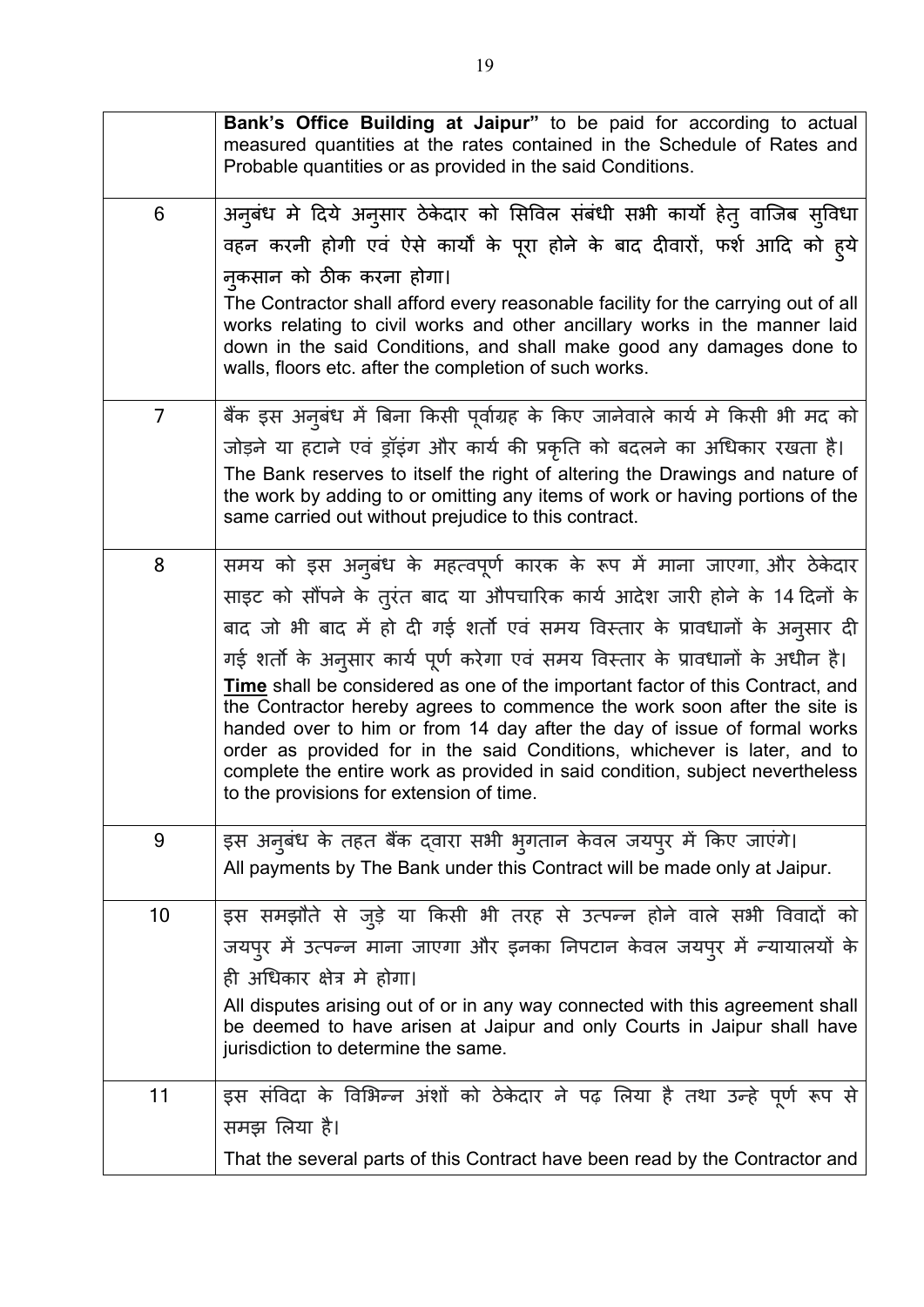|                | Bank's Office Building at Jaipur" to be paid for according to actual<br>measured quantities at the rates contained in the Schedule of Rates and<br>Probable quantities or as provided in the said Conditions.                                                                                                                                                                                                                                        |
|----------------|------------------------------------------------------------------------------------------------------------------------------------------------------------------------------------------------------------------------------------------------------------------------------------------------------------------------------------------------------------------------------------------------------------------------------------------------------|
| 6              | अनुबंध मे दिये अनुसार ठेकेदार को सिविल संबंधी सभी कार्यो हेतु वाजिब सुविधा                                                                                                                                                                                                                                                                                                                                                                           |
|                | वहन करनी होगी एवं ऐसे कार्यों के पूरा होने के बाद दीवारों, फर्श आदि को ह्ये                                                                                                                                                                                                                                                                                                                                                                          |
|                | नकसान को ठीक करना होगा।                                                                                                                                                                                                                                                                                                                                                                                                                              |
|                | The Contractor shall afford every reasonable facility for the carrying out of all<br>works relating to civil works and other ancillary works in the manner laid<br>down in the said Conditions, and shall make good any damages done to<br>walls, floors etc. after the completion of such works.                                                                                                                                                    |
| $\overline{7}$ | बैंक इस अनुबंध में बिना किसी पूर्वाग्रह के किए जानेवाले कार्य मे किसी भी मद को                                                                                                                                                                                                                                                                                                                                                                       |
|                | जोड़ने या हटाने एवं ड्रॉइंग और कार्य की प्रकृति को बदलने का अधिकार रखता है।                                                                                                                                                                                                                                                                                                                                                                          |
|                | The Bank reserves to itself the right of altering the Drawings and nature of<br>the work by adding to or omitting any items of work or having portions of the<br>same carried out without prejudice to this contract.                                                                                                                                                                                                                                |
| 8              | समय को इस अनुबंध के महत्वपूर्ण कारक के रूप में माना जाएगा, और ठेकेदार                                                                                                                                                                                                                                                                                                                                                                                |
|                | साइट को सौंपने के तुरंत बाद या औपचारिक कार्य आदेश जारी होने के 14 दिनों के                                                                                                                                                                                                                                                                                                                                                                           |
|                | बाद जो भी बाद में हो दी गई शर्तो एवं समय विस्तार के प्रावधानों के अनुसार दी                                                                                                                                                                                                                                                                                                                                                                          |
|                | गई शर्तो के अनुसार कार्य पूर्ण करेगा एवं समय विस्तार के प्रावधानों के अधीन है।                                                                                                                                                                                                                                                                                                                                                                       |
|                | <b>Time</b> shall be considered as one of the important factor of this Contract, and<br>the Contractor hereby agrees to commence the work soon after the site is<br>handed over to him or from 14 day after the day of issue of formal works<br>order as provided for in the said Conditions, whichever is later, and to<br>complete the entire work as provided in said condition, subject nevertheless<br>to the provisions for extension of time. |
| 9              | इस अनुबंध के तहत बैंक दवारा सभी भुगतान केवल जयपुर में किए जाएंगे।                                                                                                                                                                                                                                                                                                                                                                                    |
|                | All payments by The Bank under this Contract will be made only at Jaipur.                                                                                                                                                                                                                                                                                                                                                                            |
| 10             | इस समझौते से जुड़े या किसी भी तरह से उत्पन्न होने वाले सभी विवादों को                                                                                                                                                                                                                                                                                                                                                                                |
|                | जयपुर में उत्पन्न माना जाएगा और इनका निपटान केवल जयपुर में न्यायालयों के                                                                                                                                                                                                                                                                                                                                                                             |
|                | ही अधिकार क्षेत्र मे होगा।                                                                                                                                                                                                                                                                                                                                                                                                                           |
|                | All disputes arising out of or in any way connected with this agreement shall<br>be deemed to have arisen at Jaipur and only Courts in Jaipur shall have<br>jurisdiction to determine the same.                                                                                                                                                                                                                                                      |
| 11             | इस संविदा के विभिन्न अंशों को ठेकेदार ने पढ़ लिया है तथा उन्हे पूर्ण रूप से                                                                                                                                                                                                                                                                                                                                                                          |
|                | समझ लिया है।                                                                                                                                                                                                                                                                                                                                                                                                                                         |
|                | That the several parts of this Contract have been read by the Contractor and                                                                                                                                                                                                                                                                                                                                                                         |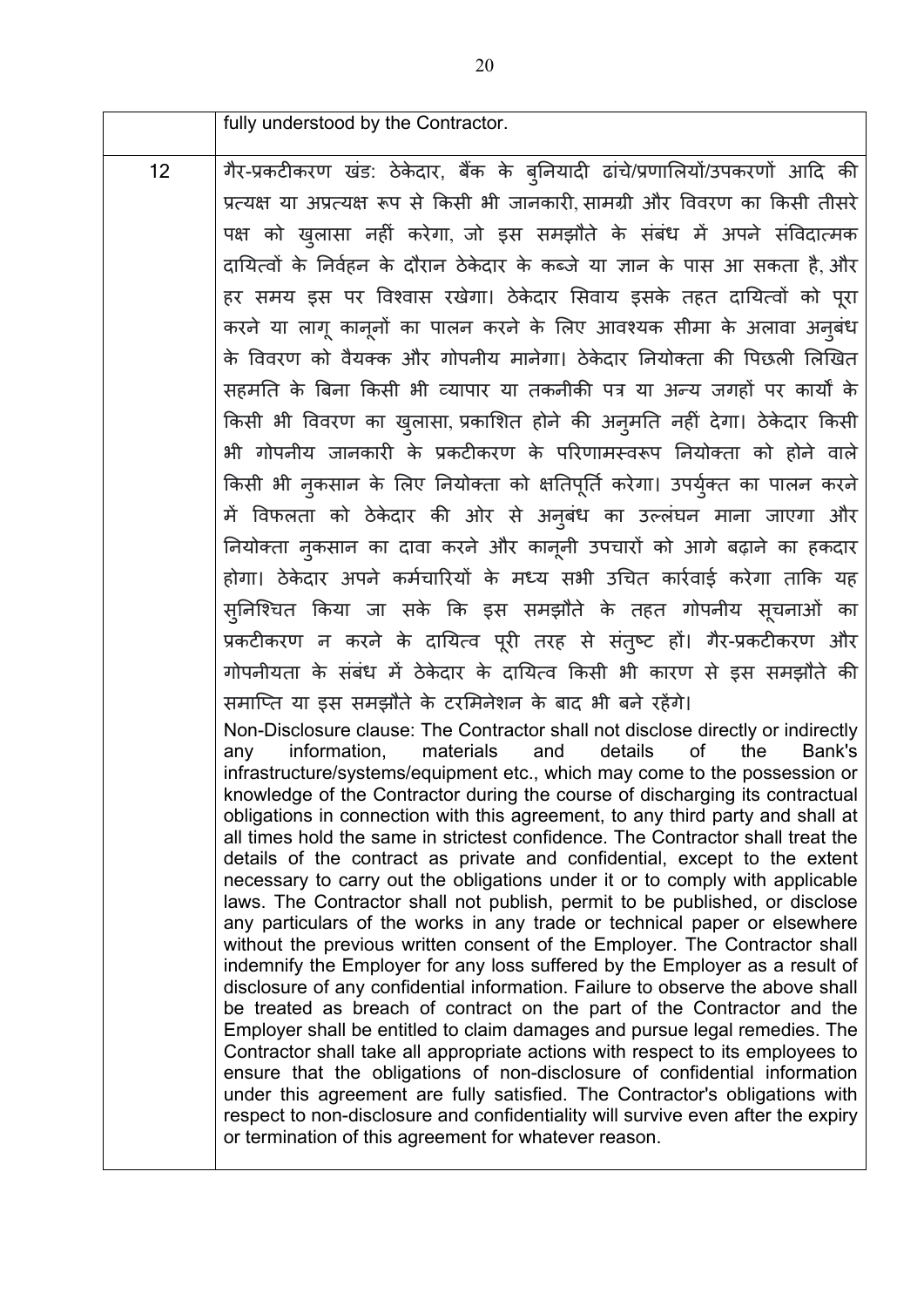fully understood by the Contractor. 12 | गैर-प्रकटीकरण खंड: ठेकेदार, बैंक के बुनियादी ढांचे/प्रणालियों/उपकरणों आदि की प्रत्य� या अप्रत्य� रूप से �कसी भी जानकार�, सामग्री और �ववरण का �कसी तीसरे पक्ष को खुलासा नहीं करेगा, जो इस समझौते के संबंध में अपने संविदात्मक दायित्वों के निर्वहन के दौरान ठेकेदार के कब्जे या ज्ञान के पास आ सकता है, और हर समय इस पर विश्वास रखेगा। ठेकेदार सिवाय इसके तहत दायित्वों को पूरा करने या लागू कानूनों का पालन करने के लिए आवश्यक सीमा के अलावा अनुबंध के विवरण को वैयक्क और गोपनीय मानेगा। ठेकेदार नियोक्ता की पिछली लिखित सहमति के बिना किसी भी व्यापार या तकनीकी पत्र या अन्य जगहों पर कार्यों के किसी भी विवरण का खुलासा, प्रकाशित होने की अनुमति नहीं देगा। ठेकेदार किसी भी गोपनीय जानकार� के प्रकट�करण के प�रणामस्वरूप �नयोक्ता को होने वाले किसी भी नुकसान के लिए नियोक्ता को क्षतिपूर्ति करेगा। उपयुक्त का पालन करने में विफलता को ठेकेदार की ओर से अनुबंध का उल्लंघन माना जाएगा और निर्योक्ता नुकसान का दावा करने और कानूनी उपचारों को आगे बढ़ाने का हकदार होगा। ठेकेदार अपने कर्मचारियों के मध्य सभी उचित कार्रवाई करेगा ताकि यह सुनिश्चित किया जा सके कि इस समझौते के तहत गोपनीय सूचनाओं का प्रकटीकरण न करने के दायित्व पूरी तरह से संतुष्ट हो। गैर-प्रकटीकरण और गोपनीयता के संबंध में ठेकेदार के दायित्व किसी भी कारण से इस समझौते की समाप्ति या इस समझौते के टरमिनेशन के बाद भी बने रहेंगे। Non-Disclosure clause: The Contractor shall not disclose directly or indirectly any information, materials and details of the Bank's infrastructure/systems/equipment etc., which may come to the possession or knowledge of the Contractor during the course of discharging its contractual obligations in connection with this agreement, to any third party and shall at all times hold the same in strictest confidence. The Contractor shall treat the details of the contract as private and confidential, except to the extent necessary to carry out the obligations under it or to comply with applicable laws. The Contractor shall not publish, permit to be published, or disclose any particulars of the works in any trade or technical paper or elsewhere without the previous written consent of the Employer. The Contractor shall indemnify the Employer for any loss suffered by the Employer as a result of disclosure of any confidential information. Failure to observe the above shall be treated as breach of contract on the part of the Contractor and the Employer shall be entitled to claim damages and pursue legal remedies. The Contractor shall take all appropriate actions with respect to its employees to ensure that the obligations of non-disclosure of confidential information under this agreement are fully satisfied. The Contractor's obligations with respect to non-disclosure and confidentiality will survive even after the expiry or termination of this agreement for whatever reason.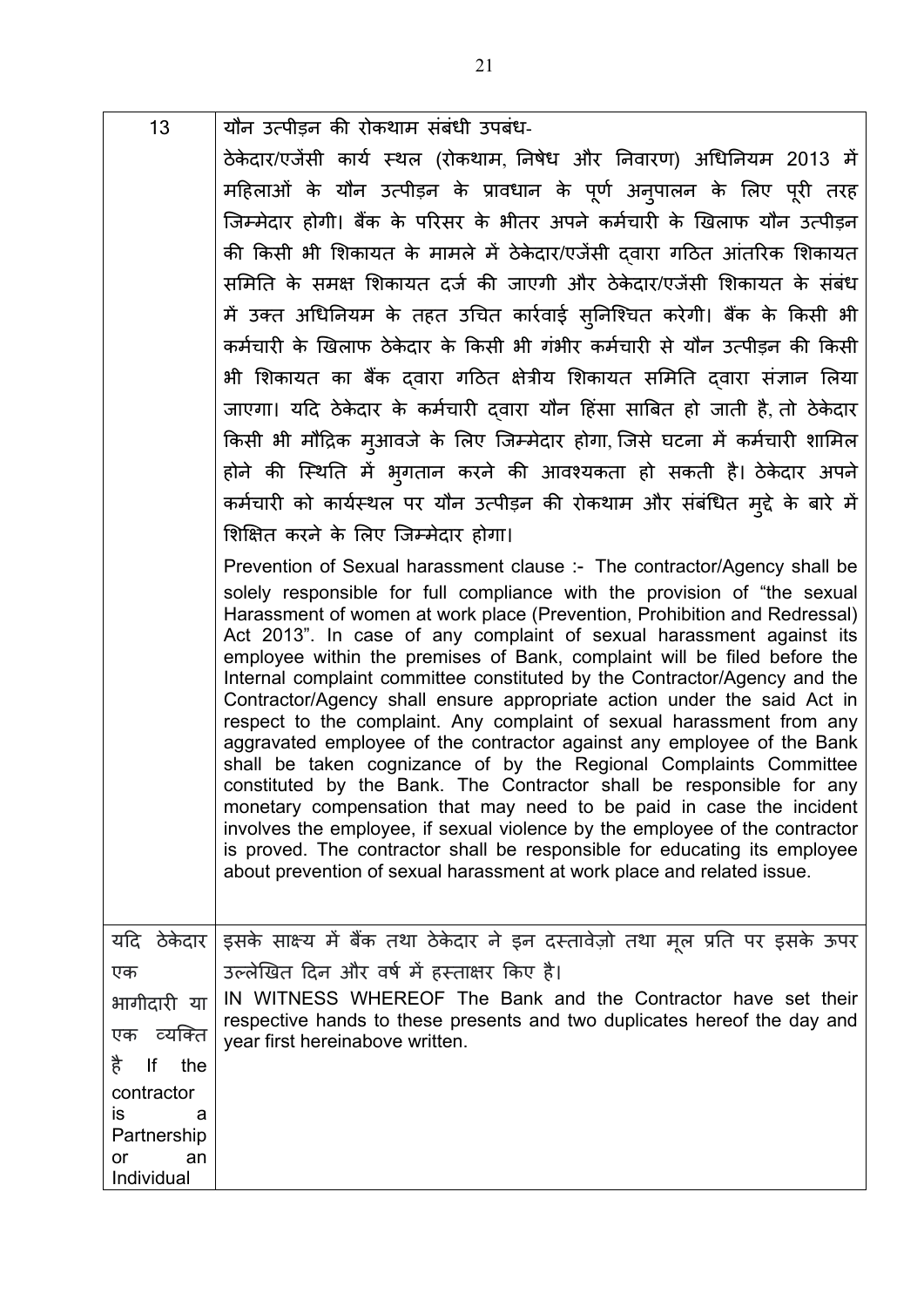| 13                                  | यौन उत्पीड़न की रोकथाम संबंधी उपबंध-                                                                                                                                                                                                                                                                                                                                                                                                                                                                                                                                                                                                                                                                                                                                                                                                                                                                                                                                                                                                                                           |
|-------------------------------------|--------------------------------------------------------------------------------------------------------------------------------------------------------------------------------------------------------------------------------------------------------------------------------------------------------------------------------------------------------------------------------------------------------------------------------------------------------------------------------------------------------------------------------------------------------------------------------------------------------------------------------------------------------------------------------------------------------------------------------------------------------------------------------------------------------------------------------------------------------------------------------------------------------------------------------------------------------------------------------------------------------------------------------------------------------------------------------|
|                                     | ठेकेदार/एजेंसी कार्य स्थल (रोकथाम, निषेध और निवारण) अधिनियम 2013 में                                                                                                                                                                                                                                                                                                                                                                                                                                                                                                                                                                                                                                                                                                                                                                                                                                                                                                                                                                                                           |
|                                     | महिलाओं के यौन उत्पीड़न के प्रावधान के पूर्ण अनुपालन के लिए पूरी तरह                                                                                                                                                                                                                                                                                                                                                                                                                                                                                                                                                                                                                                                                                                                                                                                                                                                                                                                                                                                                           |
|                                     | जिम्मेदार होगी। बैंक के परिसर के भीतर अपने कर्मचारी के खिलाफ यौन उत्पीड़न                                                                                                                                                                                                                                                                                                                                                                                                                                                                                                                                                                                                                                                                                                                                                                                                                                                                                                                                                                                                      |
|                                     | की किसी भी शिकायत के मामले में ठेकेदार/एजेंसी द्वारा गठित आंतरिक शिकायत                                                                                                                                                                                                                                                                                                                                                                                                                                                                                                                                                                                                                                                                                                                                                                                                                                                                                                                                                                                                        |
|                                     | समिति के समक्ष शिकायत दर्ज की जाएगी और ठेकेदार/एजेंसी शिकायत के संबंध                                                                                                                                                                                                                                                                                                                                                                                                                                                                                                                                                                                                                                                                                                                                                                                                                                                                                                                                                                                                          |
|                                     | में उक्त अधिनियम के तहत उचित कार्रवाई स्निश्चित करेगी। बैंक के किसी भी                                                                                                                                                                                                                                                                                                                                                                                                                                                                                                                                                                                                                                                                                                                                                                                                                                                                                                                                                                                                         |
|                                     | कर्मचारी के खिलाफ ठेकेदार के किसी भी गंभीर कर्मचारी से यौन उत्पीड़न की किसी                                                                                                                                                                                                                                                                                                                                                                                                                                                                                                                                                                                                                                                                                                                                                                                                                                                                                                                                                                                                    |
|                                     | भी शिकायत का बैंक दवारा गठित क्षेत्रीय शिकायत समिति दवारा संज्ञान लिया                                                                                                                                                                                                                                                                                                                                                                                                                                                                                                                                                                                                                                                                                                                                                                                                                                                                                                                                                                                                         |
|                                     | जाएगा। यदि ठेकेदार के कर्मचारी दवारा यौन हिंसा साबित हो जाती है, तो ठेकेदार                                                                                                                                                                                                                                                                                                                                                                                                                                                                                                                                                                                                                                                                                                                                                                                                                                                                                                                                                                                                    |
|                                     | किसी भी मौद्रिक मुआवजे के लिए जिम्मेदार होगा, जिसे घटना में कर्मचारी शामिल                                                                                                                                                                                                                                                                                                                                                                                                                                                                                                                                                                                                                                                                                                                                                                                                                                                                                                                                                                                                     |
|                                     | होने की स्थिति में भुगतान करने की आवश्यकता हो सकती है। ठेकेदार अपने                                                                                                                                                                                                                                                                                                                                                                                                                                                                                                                                                                                                                                                                                                                                                                                                                                                                                                                                                                                                            |
|                                     | कर्मचारी को कार्यस्थल पर यौन उत्पीड़न की रोकथाम और संबंधित मुद्दे के बारे में                                                                                                                                                                                                                                                                                                                                                                                                                                                                                                                                                                                                                                                                                                                                                                                                                                                                                                                                                                                                  |
|                                     | शिक्षित करने के लिए जिम्मेदार होगा।                                                                                                                                                                                                                                                                                                                                                                                                                                                                                                                                                                                                                                                                                                                                                                                                                                                                                                                                                                                                                                            |
|                                     | Prevention of Sexual harassment clause :- The contractor/Agency shall be                                                                                                                                                                                                                                                                                                                                                                                                                                                                                                                                                                                                                                                                                                                                                                                                                                                                                                                                                                                                       |
|                                     | solely responsible for full compliance with the provision of "the sexual<br>Harassment of women at work place (Prevention, Prohibition and Redressal)<br>Act 2013". In case of any complaint of sexual harassment against its<br>employee within the premises of Bank, complaint will be filed before the<br>Internal complaint committee constituted by the Contractor/Agency and the<br>Contractor/Agency shall ensure appropriate action under the said Act in<br>respect to the complaint. Any complaint of sexual harassment from any<br>aggravated employee of the contractor against any employee of the Bank<br>shall be taken cognizance of by the Regional Complaints Committee<br>constituted by the Bank. The Contractor shall be responsible for any<br>monetary compensation that may need to be paid in case the incident<br>involves the employee, if sexual violence by the employee of the contractor<br>is proved. The contractor shall be responsible for educating its employee<br>about prevention of sexual harassment at work place and related issue. |
|                                     | यदि  ठेकेदार   इसके साक्ष्य में बैंक तथा ठेकेदार ने इन दस्तावेज़ो तथा मूल प्रति पर इसके ऊपर                                                                                                                                                                                                                                                                                                                                                                                                                                                                                                                                                                                                                                                                                                                                                                                                                                                                                                                                                                                    |
| एक                                  | उल्लेखित दिन और वर्ष में हस्ताक्षर किए है।                                                                                                                                                                                                                                                                                                                                                                                                                                                                                                                                                                                                                                                                                                                                                                                                                                                                                                                                                                                                                                     |
| भागीदारी या                         | IN WITNESS WHEREOF The Bank and the Contractor have set their<br>respective hands to these presents and two duplicates hereof the day and                                                                                                                                                                                                                                                                                                                                                                                                                                                                                                                                                                                                                                                                                                                                                                                                                                                                                                                                      |
| व्यक्ति<br>एक                       | year first hereinabove written.                                                                                                                                                                                                                                                                                                                                                                                                                                                                                                                                                                                                                                                                                                                                                                                                                                                                                                                                                                                                                                                |
| है<br>lf<br>the                     |                                                                                                                                                                                                                                                                                                                                                                                                                                                                                                                                                                                                                                                                                                                                                                                                                                                                                                                                                                                                                                                                                |
|                                     |                                                                                                                                                                                                                                                                                                                                                                                                                                                                                                                                                                                                                                                                                                                                                                                                                                                                                                                                                                                                                                                                                |
| Partnership                         |                                                                                                                                                                                                                                                                                                                                                                                                                                                                                                                                                                                                                                                                                                                                                                                                                                                                                                                                                                                                                                                                                |
| or<br>an                            |                                                                                                                                                                                                                                                                                                                                                                                                                                                                                                                                                                                                                                                                                                                                                                                                                                                                                                                                                                                                                                                                                |
| contractor<br>İS<br>a<br>Individual |                                                                                                                                                                                                                                                                                                                                                                                                                                                                                                                                                                                                                                                                                                                                                                                                                                                                                                                                                                                                                                                                                |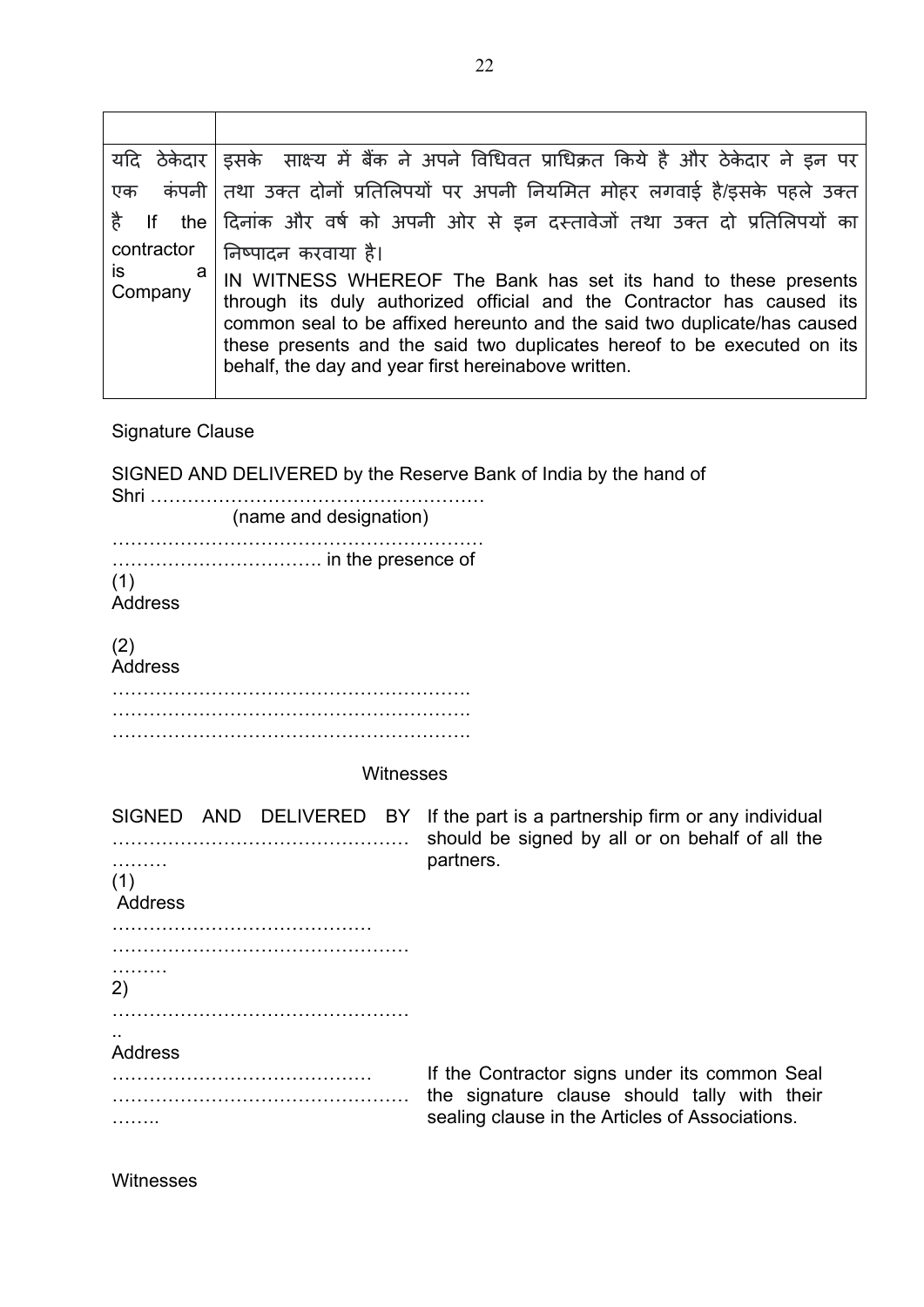|                    | यदि ठेकेदार  इसके साक्ष्य में बैंक ने अपने विधिवत प्राधिक्रत किये है और ठेकेदार ने इन पर                                                                                                                                                                                                                                                               |
|--------------------|--------------------------------------------------------------------------------------------------------------------------------------------------------------------------------------------------------------------------------------------------------------------------------------------------------------------------------------------------------|
| एक                 | कंपनी तिथा उक्त दोनों प्रतिलिपयों पर अपनी नियमित मोहर लगवाई है/इसके पहले उक्त                                                                                                                                                                                                                                                                          |
|                    | है If the दिनांक और वर्ष को अपनी ओर से इन दस्तावेजों तथा उक्त दो प्रतिलिपयों का                                                                                                                                                                                                                                                                        |
| contractor         | निष्पादन करवाया है।                                                                                                                                                                                                                                                                                                                                    |
| is<br>а<br>Company | IN WITNESS WHEREOF The Bank has set its hand to these presents<br>through its duly authorized official and the Contractor has caused its<br>common seal to be affixed hereunto and the said two duplicate/has caused<br>these presents and the said two duplicates hereof to be executed on its<br>behalf, the day and year first hereinabove written. |

Signature Clause

| SIGNED AND DELIVERED by the Reserve Bank of India by the hand of |                                                                                                                                                  |  |  |  |  |
|------------------------------------------------------------------|--------------------------------------------------------------------------------------------------------------------------------------------------|--|--|--|--|
| (name and designation)                                           |                                                                                                                                                  |  |  |  |  |
| (1)<br><b>Address</b><br>(2)<br><b>Address</b>                   |                                                                                                                                                  |  |  |  |  |
| Witnesses                                                        |                                                                                                                                                  |  |  |  |  |
| .<br>(1)<br>Address<br>.<br>2)                                   | SIGNED AND DELIVERED BY If the part is a partnership firm or any individual<br>should be signed by all or on behalf of all the<br>partners.      |  |  |  |  |
| <b>Address</b>                                                   | If the Contractor signs under its common Seal<br>the signature clause should tally with their<br>sealing clause in the Articles of Associations. |  |  |  |  |

Witnesses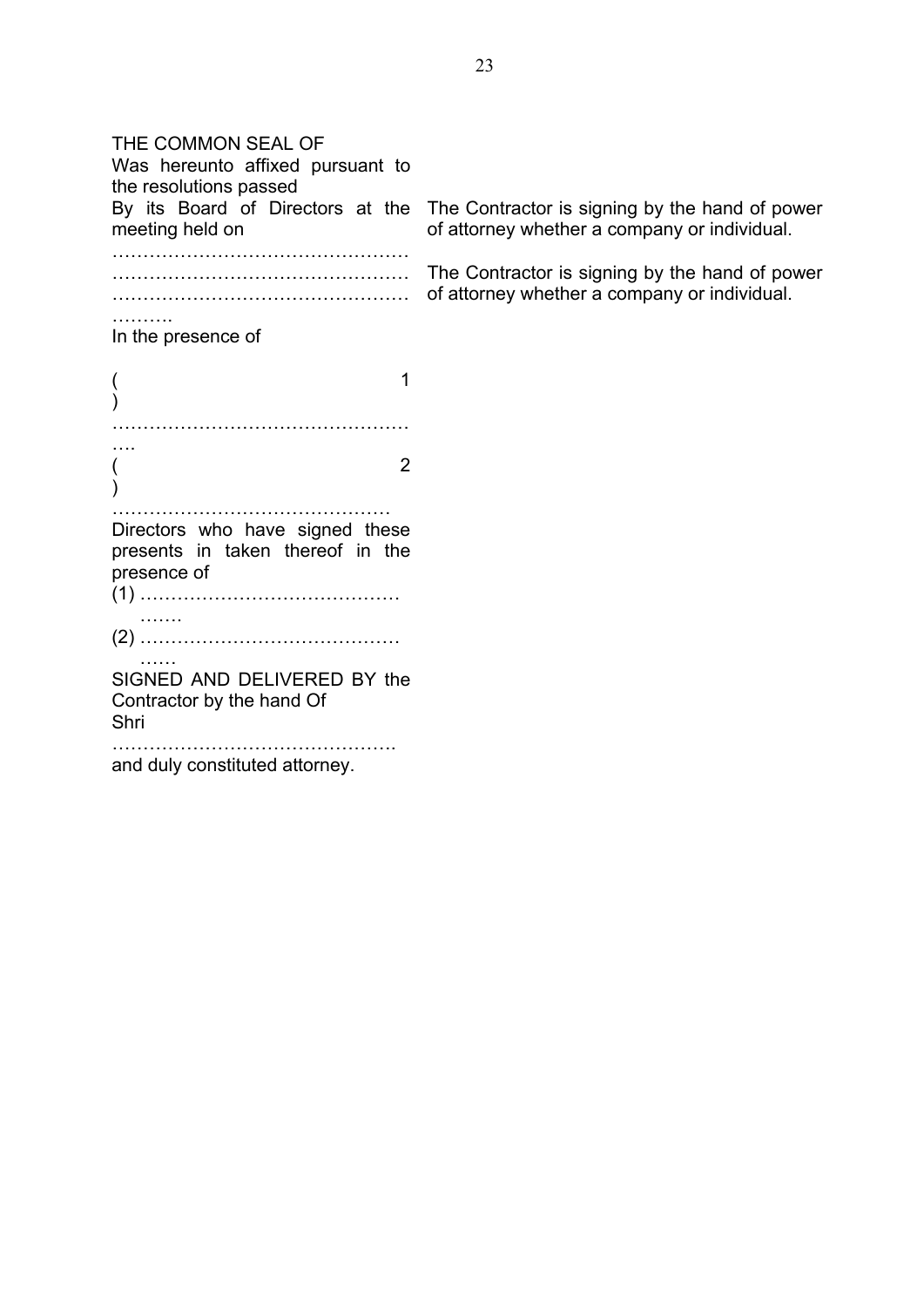THE COMMON SEAL OF Was hereunto affixed pursuant to the resolutions passed By its Board of Directors at the meeting held on ………………………………………… ………………………………………… ………………………………………… ………… In the presence of  $($ ) ………………………………………… ….  $($  2  $\lambda$ ……………………………………… Directors who have signed these presents in taken thereof in the presence of (1) …………………………………… …… (2) …………………………………… SIGNED AND DELIVERED BY the Contractor by the hand Of Shri ………………………………………. and duly constituted attorney. The Contractor is signing by the hand of power of attorney whether a company or individual. The Contractor is signing by the hand of power of attorney whether a company or individual.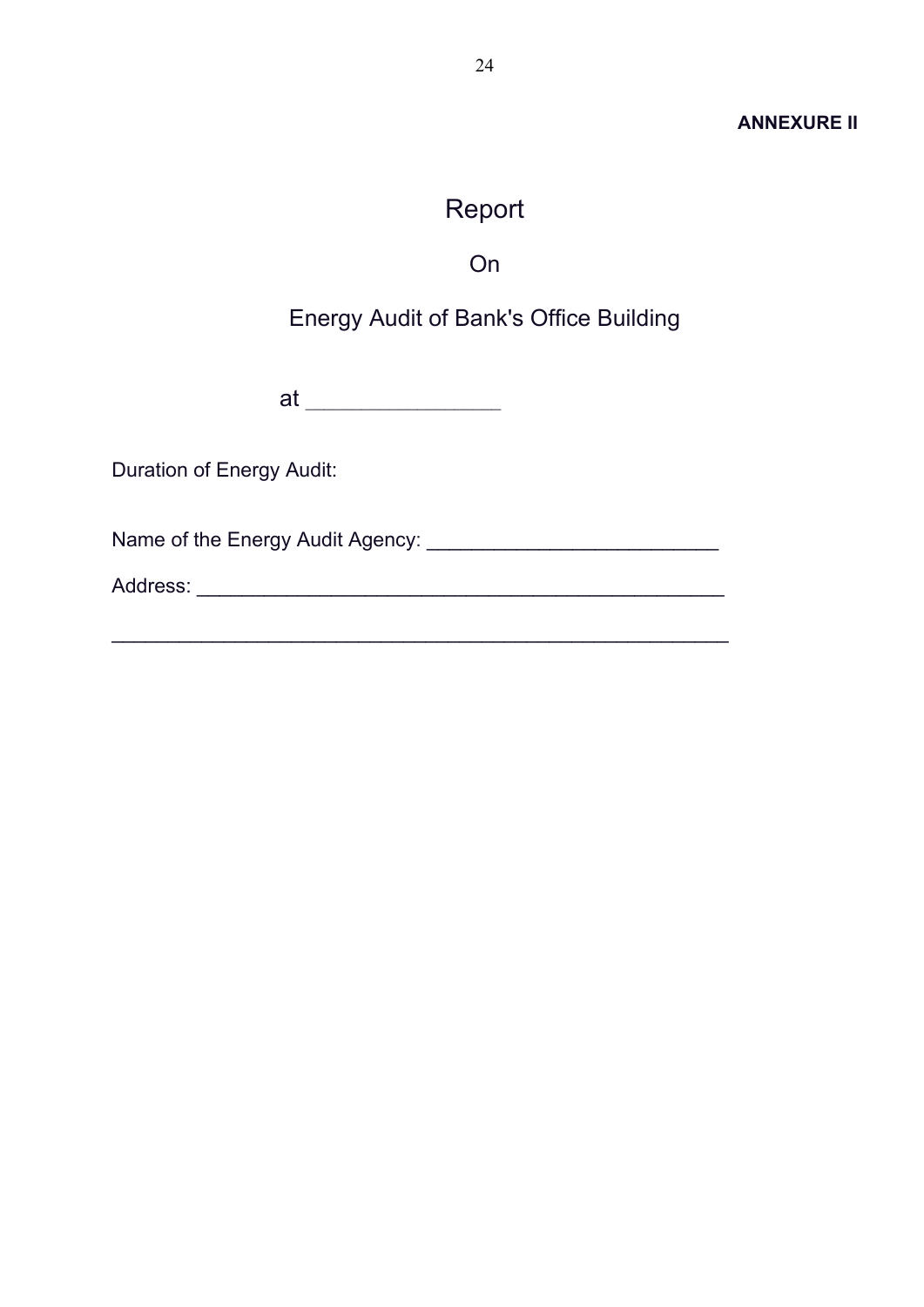#### **ANNEXURE II**

# Report

On

## <span id="page-24-0"></span>Energy Audit of Bank's Office Building

at \_\_\_\_\_\_\_\_\_\_\_\_\_\_\_\_\_\_\_\_\_

Duration of Energy Audit:

Name of the Energy Audit Agency: \_\_\_\_\_\_\_\_\_\_\_\_\_\_\_\_\_\_\_\_\_\_\_\_\_\_

Address: \_\_\_\_\_\_\_\_\_\_\_\_\_\_\_\_\_\_\_\_\_\_\_\_\_\_\_\_\_\_\_\_\_\_\_\_\_\_\_\_\_\_\_\_\_\_\_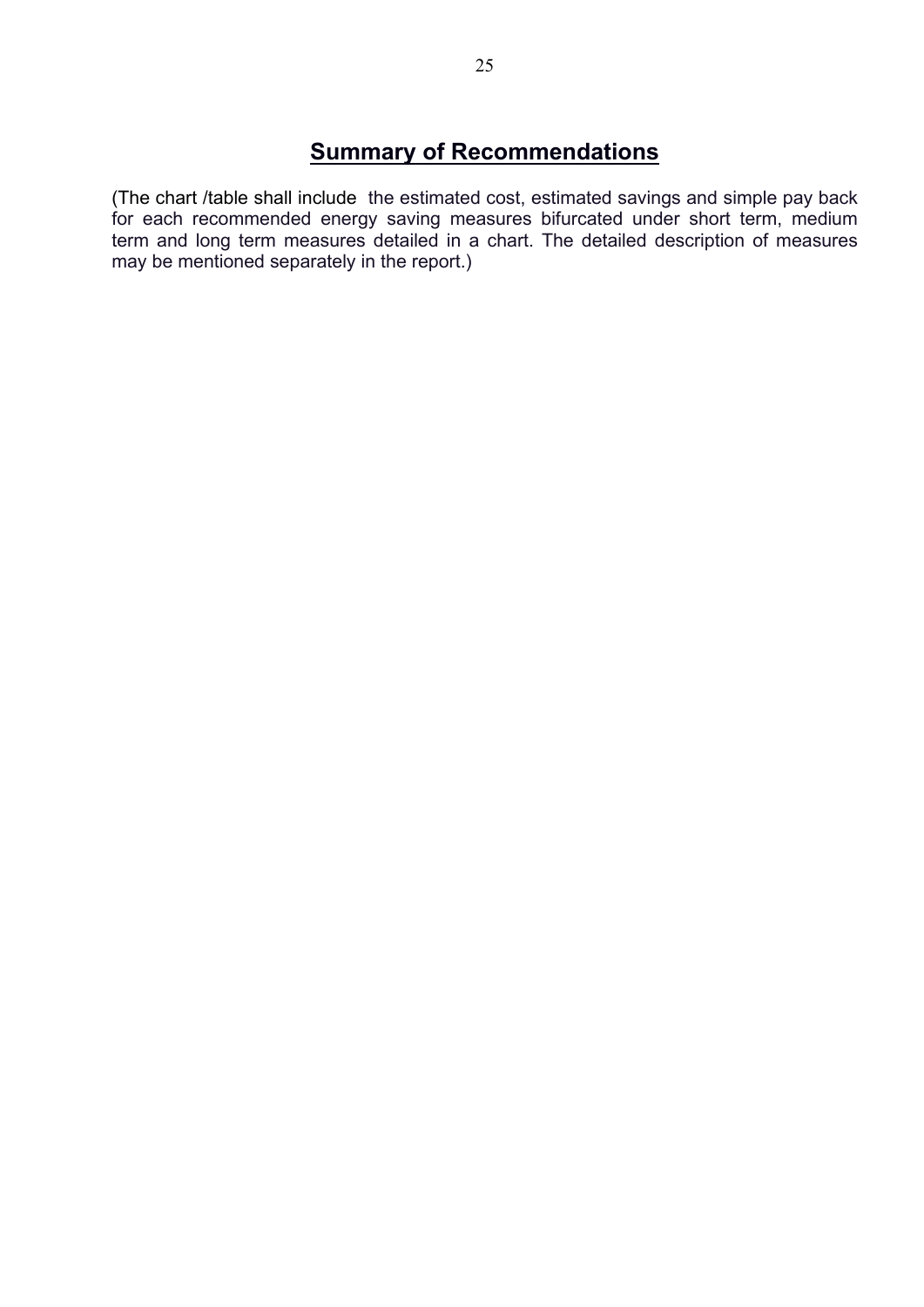## **Summary of Recommendations**

(The chart /table shall include the estimated cost, estimated savings and simple pay back for each recommended energy saving measures bifurcated under short term, medium term and long term measures detailed in a chart. The detailed description of measures may be mentioned separately in the report.)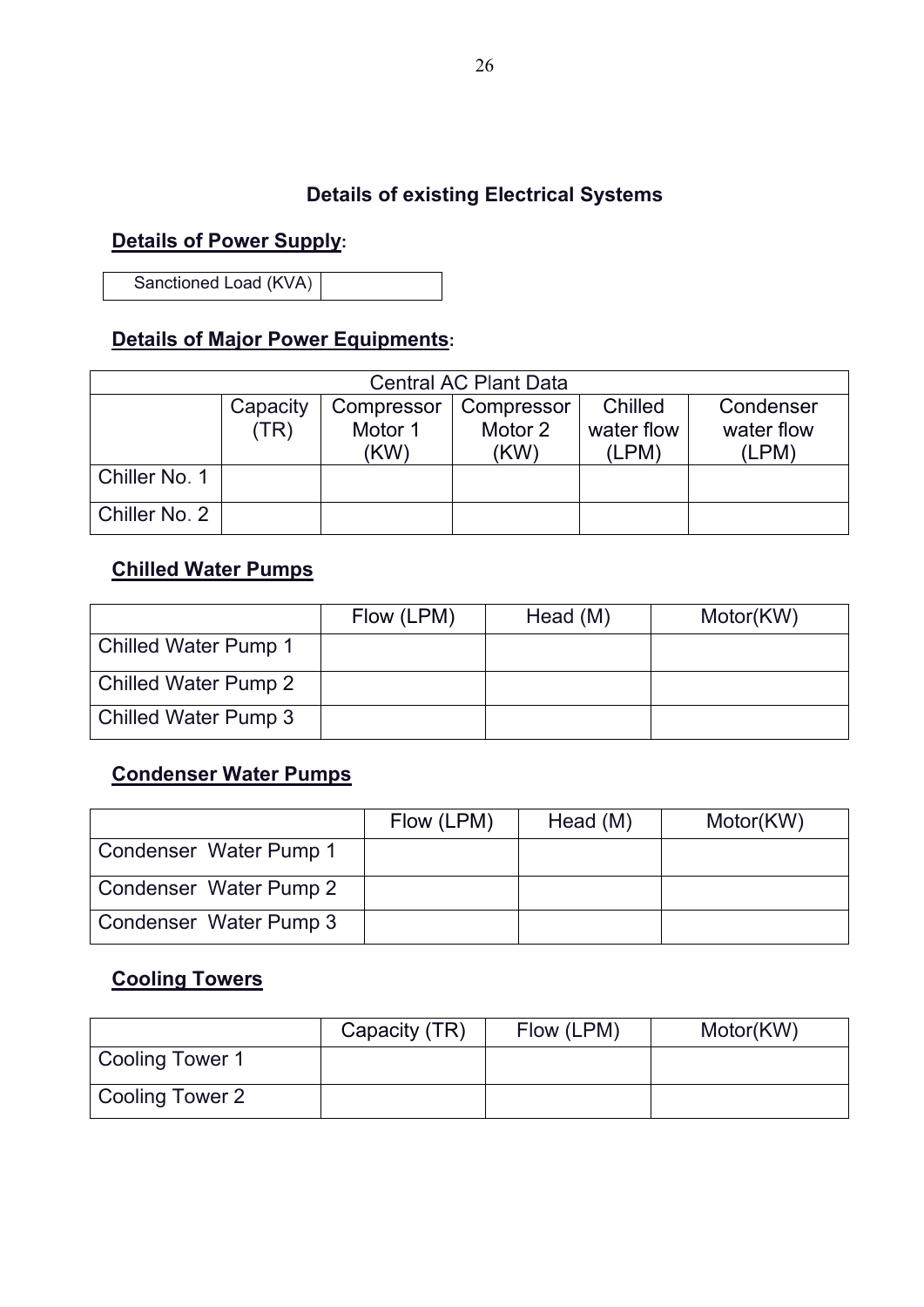### **Details of existing Electrical Systems**

### **Details of Power Supply:**

Sanctioned Load (KVA)

## **Details of Major Power Equipments:**

| <b>Central AC Plant Data</b> |                                                              |         |         |            |            |  |
|------------------------------|--------------------------------------------------------------|---------|---------|------------|------------|--|
|                              | Chilled<br>Condenser<br>Capacity<br>Compressor<br>Compressor |         |         |            |            |  |
|                              | (TR)                                                         | Motor 1 | Motor 2 | water flow | water flow |  |
|                              |                                                              | (KW)    | (KW)    | (LPM)      | (LPM)      |  |
| Chiller No. 1                |                                                              |         |         |            |            |  |
| Chiller No. 2                |                                                              |         |         |            |            |  |

### **Chilled Water Pumps**

|                             | Flow (LPM) | Head (M) | Motor(KW) |
|-----------------------------|------------|----------|-----------|
| <b>Chilled Water Pump 1</b> |            |          |           |
| <b>Chilled Water Pump 2</b> |            |          |           |
| <b>Chilled Water Pump 3</b> |            |          |           |

## **Condenser Water Pumps**

|                        | Flow (LPM) | Head (M) | Motor(KW) |
|------------------------|------------|----------|-----------|
| Condenser Water Pump 1 |            |          |           |
| Condenser Water Pump 2 |            |          |           |
| Condenser Water Pump 3 |            |          |           |

### **Cooling Towers**

|                 | Capacity (TR) | Flow (LPM) | Motor(KW) |
|-----------------|---------------|------------|-----------|
| Cooling Tower 1 |               |            |           |
| Cooling Tower 2 |               |            |           |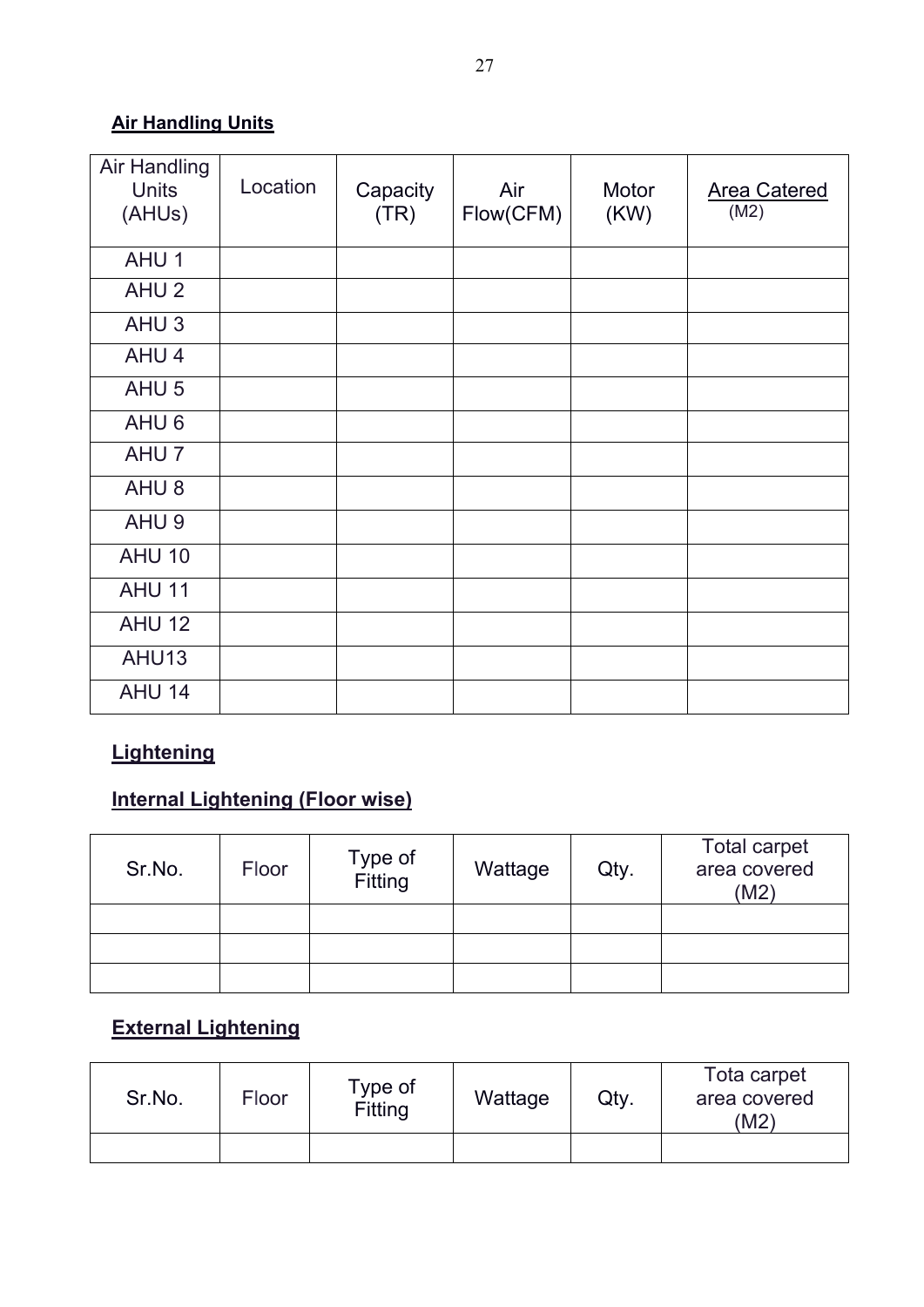## **Air Handling Units**

| <b>Air Handling</b><br><b>Units</b><br>(AHUs) | Location | Capacity<br>(TR) | Air<br>Flow(CFM) | Motor<br>(KW) | Area Catered<br>(M2) |
|-----------------------------------------------|----------|------------------|------------------|---------------|----------------------|
| AHU <sub>1</sub>                              |          |                  |                  |               |                      |
| AHU <sub>2</sub>                              |          |                  |                  |               |                      |
| AHU <sub>3</sub>                              |          |                  |                  |               |                      |
| AHU <sub>4</sub>                              |          |                  |                  |               |                      |
| AHU <sub>5</sub>                              |          |                  |                  |               |                      |
| AHU <sub>6</sub>                              |          |                  |                  |               |                      |
| AHU <sub>7</sub>                              |          |                  |                  |               |                      |
| AHU <sub>8</sub>                              |          |                  |                  |               |                      |
| AHU <sub>9</sub>                              |          |                  |                  |               |                      |
| <b>AHU 10</b>                                 |          |                  |                  |               |                      |
| <b>AHU 11</b>                                 |          |                  |                  |               |                      |
| <b>AHU 12</b>                                 |          |                  |                  |               |                      |
| AHU13                                         |          |                  |                  |               |                      |
| <b>AHU 14</b>                                 |          |                  |                  |               |                      |

## **Lightening**

## **Internal Lightening (Floor wise)**

| Sr.No. | Floor | Type of<br>Fitting | Wattage | Qty. | <b>Total carpet</b><br>area covered<br>(M2) |
|--------|-------|--------------------|---------|------|---------------------------------------------|
|        |       |                    |         |      |                                             |
|        |       |                    |         |      |                                             |
|        |       |                    |         |      |                                             |

## **External Lightening**

| Sr.No. | Floor | Type of<br>Fitting | Wattage | Qty. | Tota carpet<br>area covered<br>(M2 |
|--------|-------|--------------------|---------|------|------------------------------------|
|        |       |                    |         |      |                                    |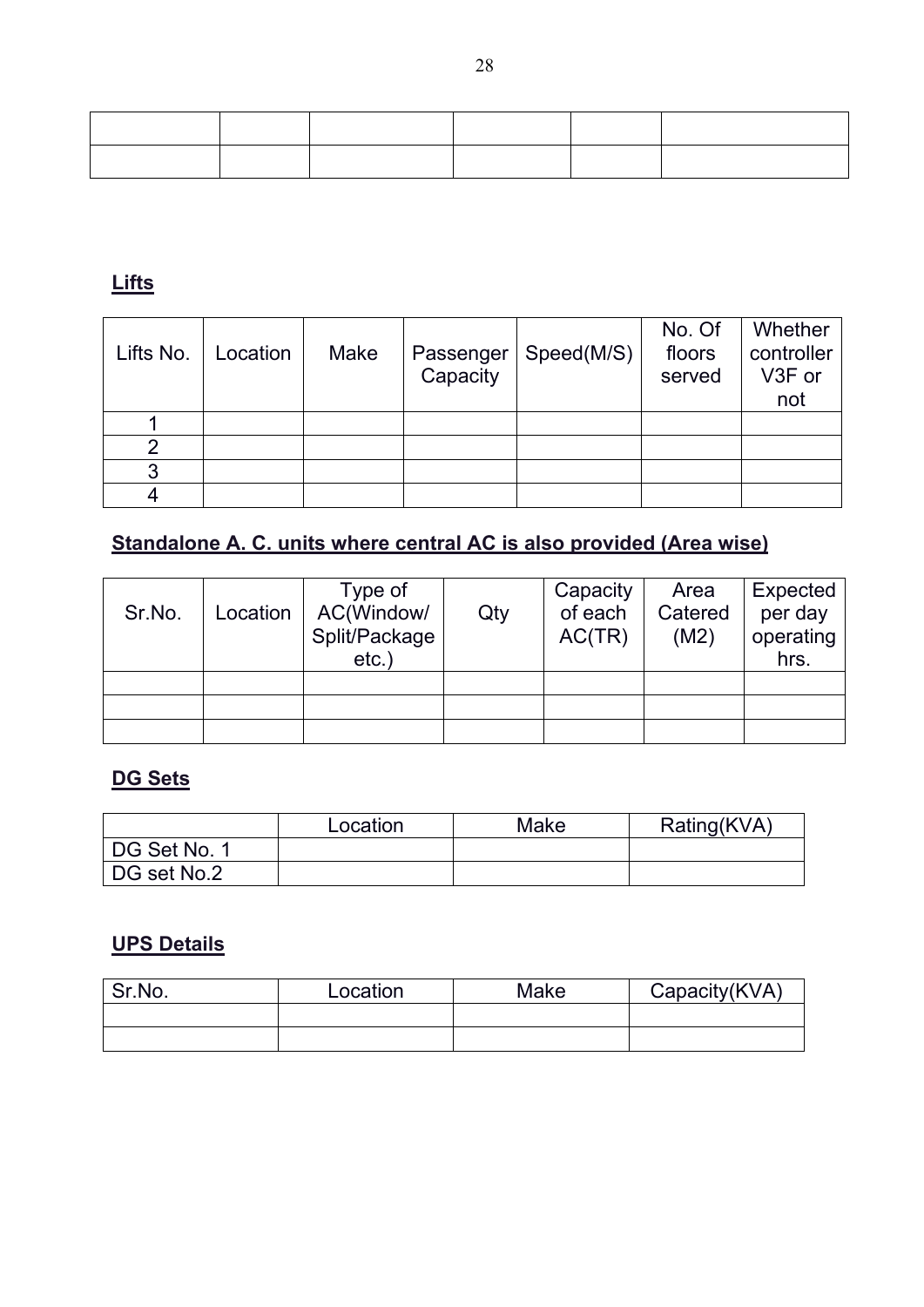### **Lifts**

| Lifts No. | Location | Make | Passenger<br>Capacity | Speed(M/S) | No. Of<br>floors<br>served | Whether<br>controller<br>V3F or<br>not |
|-----------|----------|------|-----------------------|------------|----------------------------|----------------------------------------|
|           |          |      |                       |            |                            |                                        |
|           |          |      |                       |            |                            |                                        |
|           |          |      |                       |            |                            |                                        |
|           |          |      |                       |            |                            |                                        |

# **Standalone A. C. units where central AC is also provided (Area wise)**

| Sr.No. | Location | Type of<br>AC(Window/<br>Split/Package<br>$etc.$ ) | Qty | Capacity<br>of each<br>AC(TR) | Area<br>Catered<br>(M2) | Expected<br>per day<br>operating<br>hrs. |
|--------|----------|----------------------------------------------------|-----|-------------------------------|-------------------------|------------------------------------------|
|        |          |                                                    |     |                               |                         |                                          |
|        |          |                                                    |     |                               |                         |                                          |
|        |          |                                                    |     |                               |                         |                                          |

## **DG Sets**

|              | Location | Make | Rating(KVA) |
|--------------|----------|------|-------------|
| DG Set No. 1 |          |      |             |
| DG set No.2  |          |      |             |

### **UPS Details**

| Sr.No. | Location | Make | Capacity(KVA) |  |  |
|--------|----------|------|---------------|--|--|
|        |          |      |               |  |  |
|        |          |      |               |  |  |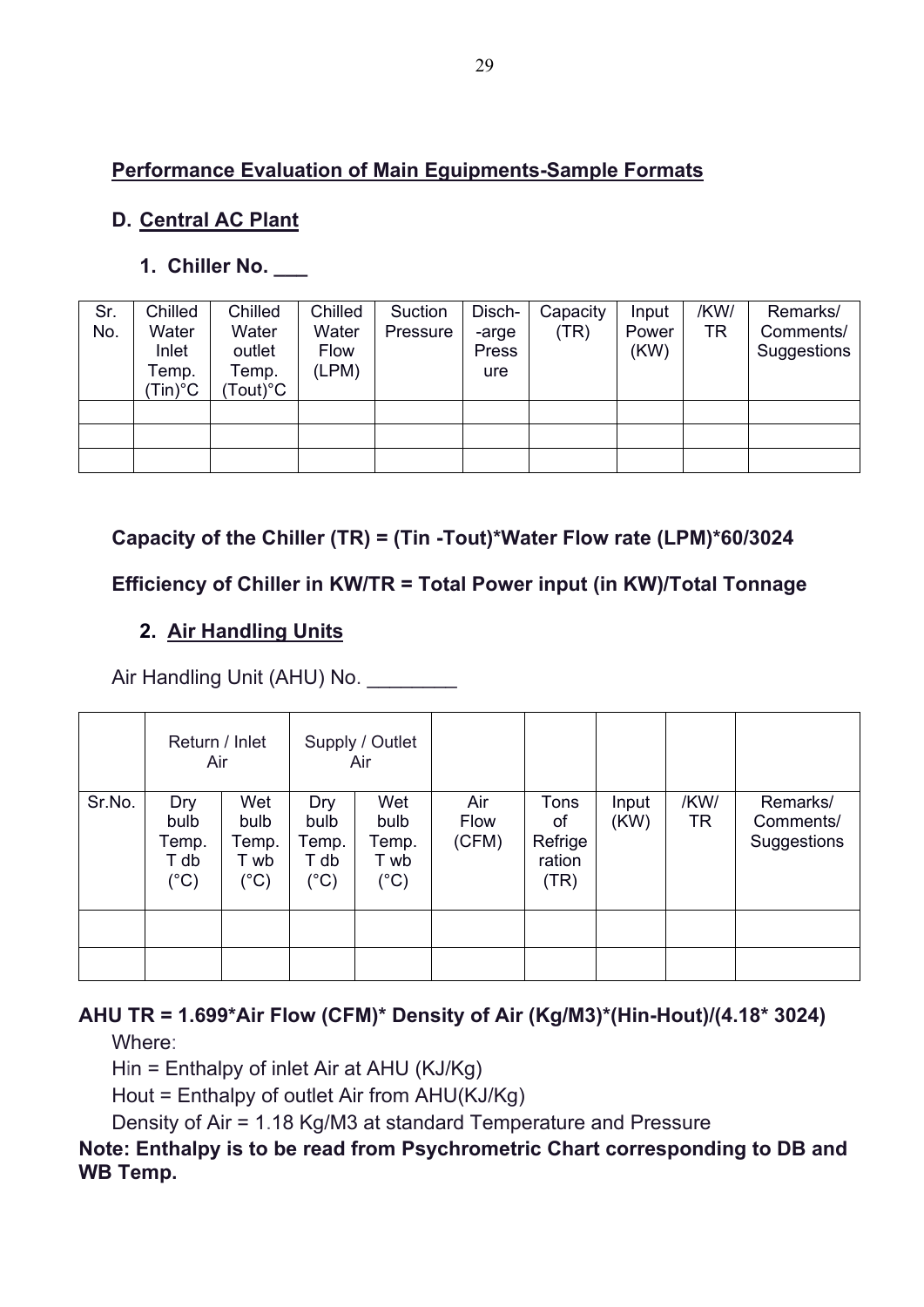## **Performance Evaluation of Main Eguipments-Sample Formats**

## **D. Central AC Plant**

## **1. Chiller No. \_\_\_**

| Sr.<br>No. | Chilled<br>Water<br>Inlet<br>Temp.<br>Tin)°C | Chilled<br>Water<br>outlet<br>Temp.<br>$\mathsf{Tout})^\circ\mathsf{C}$ | Chilled<br>Water<br>Flow<br>(LPM) | Suction<br>Pressure | Disch-<br>-arge<br>Press<br>ure | Capacity<br>(TR) | Input<br>Power<br>(KW) | /KW/<br>TR | Remarks/<br>Comments/<br>Suggestions |
|------------|----------------------------------------------|-------------------------------------------------------------------------|-----------------------------------|---------------------|---------------------------------|------------------|------------------------|------------|--------------------------------------|
|            |                                              |                                                                         |                                   |                     |                                 |                  |                        |            |                                      |
|            |                                              |                                                                         |                                   |                     |                                 |                  |                        |            |                                      |
|            |                                              |                                                                         |                                   |                     |                                 |                  |                        |            |                                      |

**Capacity of the Chiller (TR) = (Tin -Tout)\*Water Flow rate (LPM)\*60/3024**

## **Efficiency of Chiller in KW/TR = Total Power input (in KW)/Total Tonnage**

## **2. Air Handling Units**

Air Handling Unit (AHU) No.

|        | Return / Inlet<br>Air                         |                                              |                                      | Supply / Outlet<br>Air                        |                      |                                         |               |            |                                      |
|--------|-----------------------------------------------|----------------------------------------------|--------------------------------------|-----------------------------------------------|----------------------|-----------------------------------------|---------------|------------|--------------------------------------|
| Sr.No. | Dry<br>bulb<br>Temp.<br>T db<br>$(^{\circ}C)$ | Wet<br>bulb<br>Temp.<br>T wb<br>$(^\circ C)$ | Dry<br>bulb<br>Temp.<br>T db<br>(°C) | Wet<br>bulb<br>Temp.<br>T wb<br>$(^{\circ}C)$ | Air<br>Flow<br>(CFM) | Tons<br>оf<br>Refrige<br>ration<br>(TR) | Input<br>(KW) | /KW/<br>TR | Remarks/<br>Comments/<br>Suggestions |
|        |                                               |                                              |                                      |                                               |                      |                                         |               |            |                                      |
|        |                                               |                                              |                                      |                                               |                      |                                         |               |            |                                      |

# **AHU TR = 1.699\*Air Flow (CFM)\* Density of Air (Kg/M3)\*(Hin-Hout)/(4.18\* 3024)**

Where:

Hin = Enthalpy of inlet Air at AHU (KJ/Kg)

Hout = Enthalpy of outlet Air from AHU(KJ/Kg)

Density of Air = 1.18 Kg/M3 at standard Temperature and Pressure

### **Note: Enthalpy is to be read from Psychrometric Chart corresponding to DB and WB Temp.**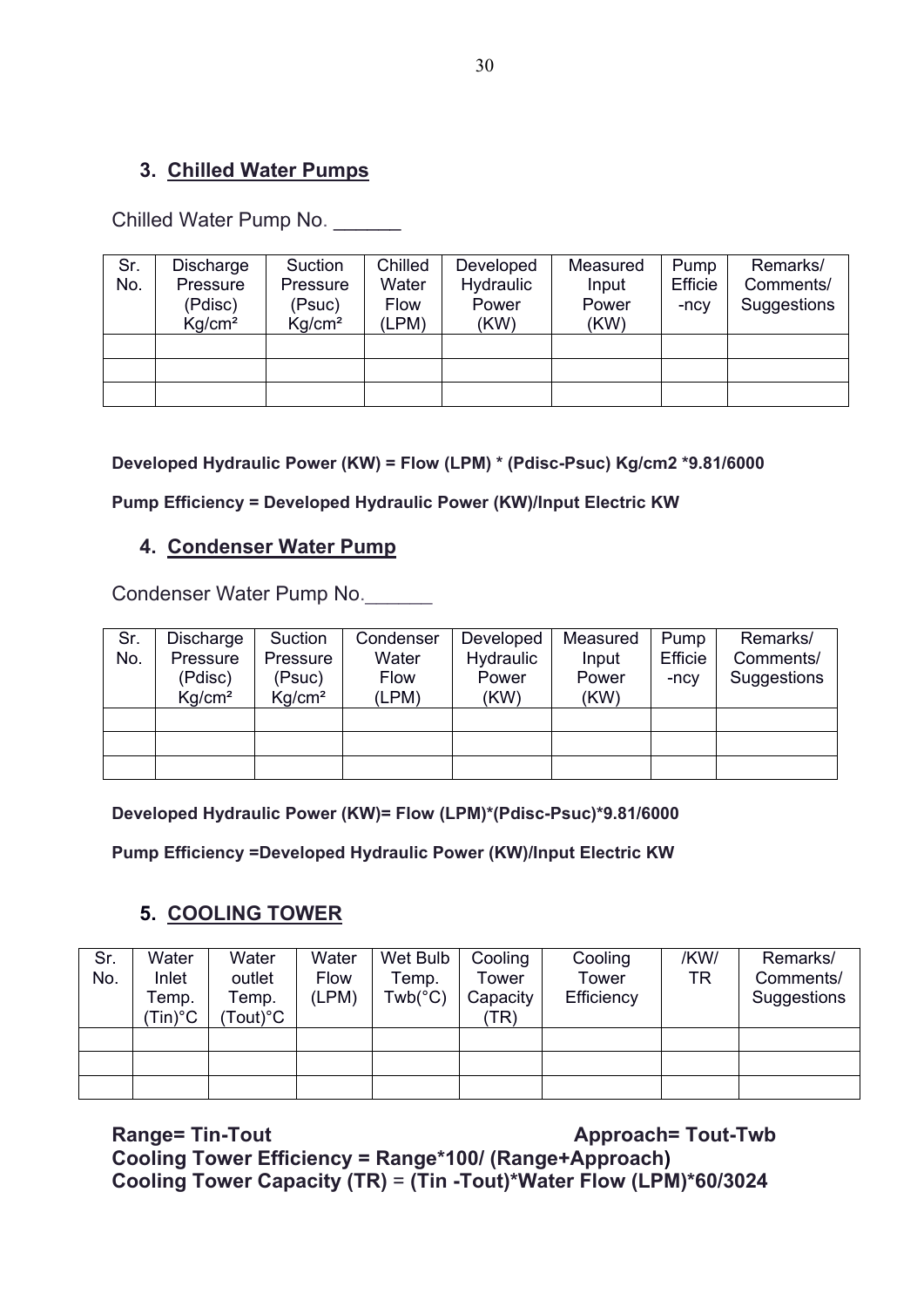### **3. Chilled Water Pumps**

Chilled Water Pump No.

| Sr. | Discharge          | Suction            | Chilled     | Developed | Measured | Pump    | Remarks/    |
|-----|--------------------|--------------------|-------------|-----------|----------|---------|-------------|
| No. | Pressure           | Pressure           | Water       | Hydraulic | Input    | Efficie | Comments/   |
|     | (Pdisc)            | (Psuc)             | <b>Flow</b> | Power     | Power    | -ncy    | Suggestions |
|     | Kq/cm <sup>2</sup> | Kq/cm <sup>2</sup> | (LPM)       | (KW)      | (KW)     |         |             |
|     |                    |                    |             |           |          |         |             |
|     |                    |                    |             |           |          |         |             |
|     |                    |                    |             |           |          |         |             |

**Developed Hydraulic Power (KW) = Flow (LPM) \* (Pdisc-Psuc) Kg/cm2 \*9.81/6000**

**Pump Efficiency = Developed Hydraulic Power (KW)/Input Electric KW**

### **4. Condenser Water Pump**

Condenser Water Pump No.

| Sr. | Discharge          | Suction            | Condenser   | Developed | Measured | Pump    | Remarks/    |
|-----|--------------------|--------------------|-------------|-----------|----------|---------|-------------|
| No. | Pressure           | Pressure           | Water       | Hydraulic | Input    | Efficie | Comments/   |
|     | (Pdisc)            | (Psuc)             | <b>Flow</b> | Power     | Power    | $-ncv$  | Suggestions |
|     | Kq/cm <sup>2</sup> | Kg/cm <sup>2</sup> | (LPM)       | (KW)      | (KW)     |         |             |
|     |                    |                    |             |           |          |         |             |
|     |                    |                    |             |           |          |         |             |
|     |                    |                    |             |           |          |         |             |

**Developed Hydraulic Power (KW)= Flow (LPM)\*(Pdisc-Psuc)\*9.81/6000**

**Pump Efficiency =Developed Hydraulic Power (KW)/Input Electric KW**

### **5. COOLING TOWER**

| Sr.<br>No. | Water<br>Inlet<br>Геmp.<br>$\mathsf{Tin})$ °C | Water<br>outlet<br>Temp.<br>$Tout)$ °C | Water<br><b>Flow</b><br>(LPM) | Wet Bulb<br>Temp.<br>$Twb(^{\circ}C)$ | Cooling<br>Tower<br>Capacity<br>TR) | Cooling<br>Tower<br>Efficiency | /KW/<br>TR | Remarks/<br>Comments/<br>Suggestions |
|------------|-----------------------------------------------|----------------------------------------|-------------------------------|---------------------------------------|-------------------------------------|--------------------------------|------------|--------------------------------------|
|            |                                               |                                        |                               |                                       |                                     |                                |            |                                      |
|            |                                               |                                        |                               |                                       |                                     |                                |            |                                      |
|            |                                               |                                        |                               |                                       |                                     |                                |            |                                      |

**Range= Tin-Tout Approach= Tout-Twb** 

**Cooling Tower Efficiency = Range\*100/ (Range+Approach) Cooling Tower Capacity (TR)** = **(Tin -Tout)\*Water Flow (LPM)\*60/3024**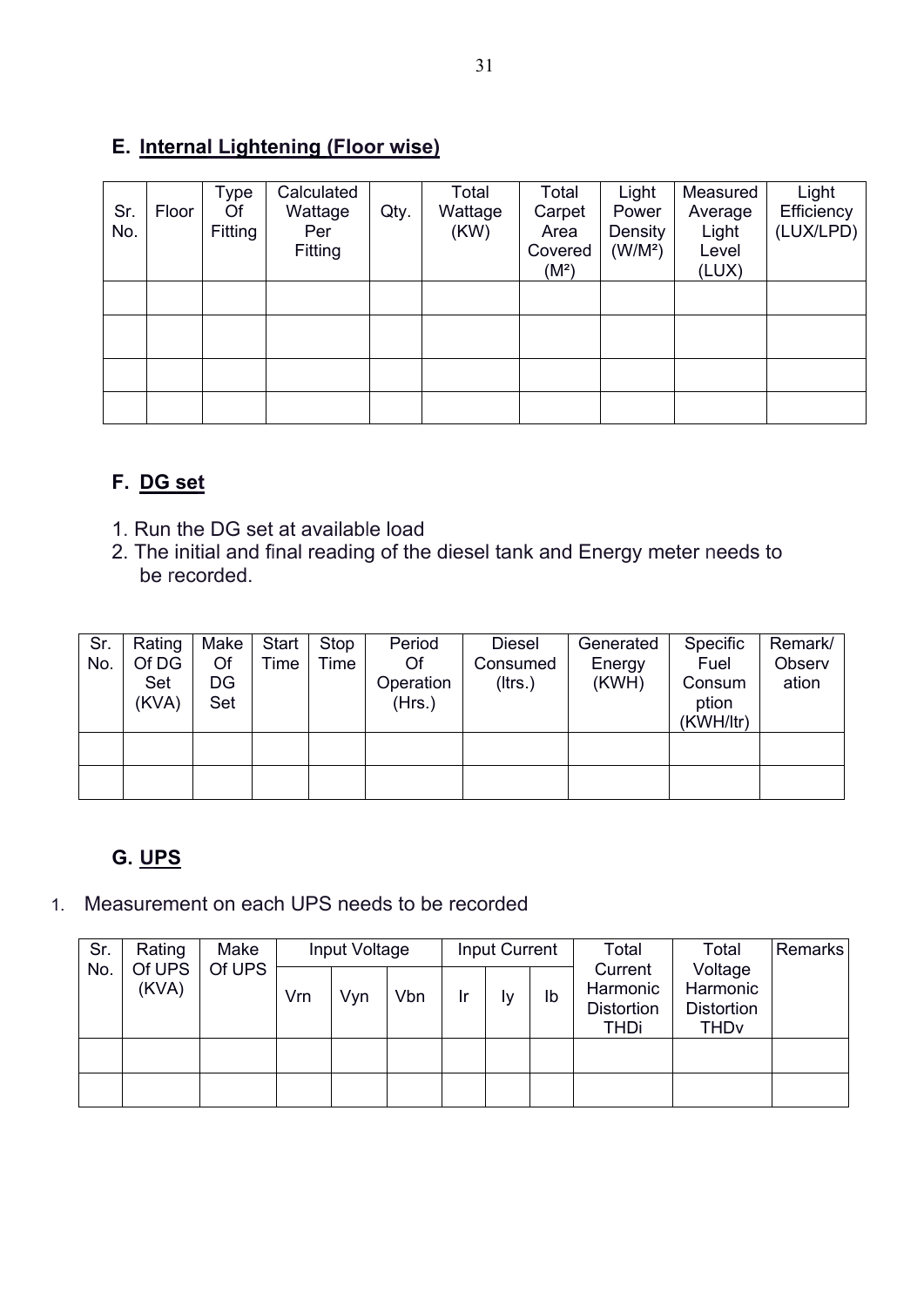### **E. Internal Lightening (Floor wise)**

| Sr.<br>No. | Floor | Type<br>Of<br>Fitting | Calculated<br>Wattage<br>Per<br>Fitting | Qty. | Total<br>Wattage<br>(KW) | Total<br>Carpet<br>Area<br>Covered<br>(M <sup>2</sup> ) | Light<br>Power<br>Density<br>(W/M <sup>2</sup> ) | Measured<br>Average<br>Light<br>Level<br>(LUX) | Light<br>Efficiency<br>(LUX/LPD) |
|------------|-------|-----------------------|-----------------------------------------|------|--------------------------|---------------------------------------------------------|--------------------------------------------------|------------------------------------------------|----------------------------------|
|            |       |                       |                                         |      |                          |                                                         |                                                  |                                                |                                  |
|            |       |                       |                                         |      |                          |                                                         |                                                  |                                                |                                  |
|            |       |                       |                                         |      |                          |                                                         |                                                  |                                                |                                  |
|            |       |                       |                                         |      |                          |                                                         |                                                  |                                                |                                  |

## **F. DG set**

- 1. Run the DG set at available load
- 2. The initial and final reading of the diesel tank and Energy meter needs to be recorded.

| Sr.<br>No. | Rating<br>Of DG<br>Set<br>(KVA) | Make<br>Of<br>DG<br>Set | Start<br>Time | Stop<br>Time | Period<br>Of<br>Operation<br>(Hrs.) | <b>Diesel</b><br>Consumed<br>$($ ltrs. $)$ | Generated<br>Energy<br>(KWH) | Specific<br>Fuel<br>Consum<br>ption<br>(KWH/ltr) | Remark/<br>Observ<br>ation |
|------------|---------------------------------|-------------------------|---------------|--------------|-------------------------------------|--------------------------------------------|------------------------------|--------------------------------------------------|----------------------------|
|            |                                 |                         |               |              |                                     |                                            |                              |                                                  |                            |
|            |                                 |                         |               |              |                                     |                                            |                              |                                                  |                            |

## **G. UPS**

1. Measurement on each UPS needs to be recorded

| Sr. | Rating          | Make   | Input Voltage |     |     | <b>Input Current</b> |    |    | Total                                                   | Total                                                              | Remarks |
|-----|-----------------|--------|---------------|-----|-----|----------------------|----|----|---------------------------------------------------------|--------------------------------------------------------------------|---------|
| No. | Of UPS<br>(KVA) | Of UPS | Vrn           | Vyn | Vbn | Ir                   | l٧ | Ib | Current<br>Harmonic<br><b>Distortion</b><br><b>THDi</b> | Voltage<br>Harmonic<br><b>Distortion</b><br><b>THD<sub>v</sub></b> |         |
|     |                 |        |               |     |     |                      |    |    |                                                         |                                                                    |         |
|     |                 |        |               |     |     |                      |    |    |                                                         |                                                                    |         |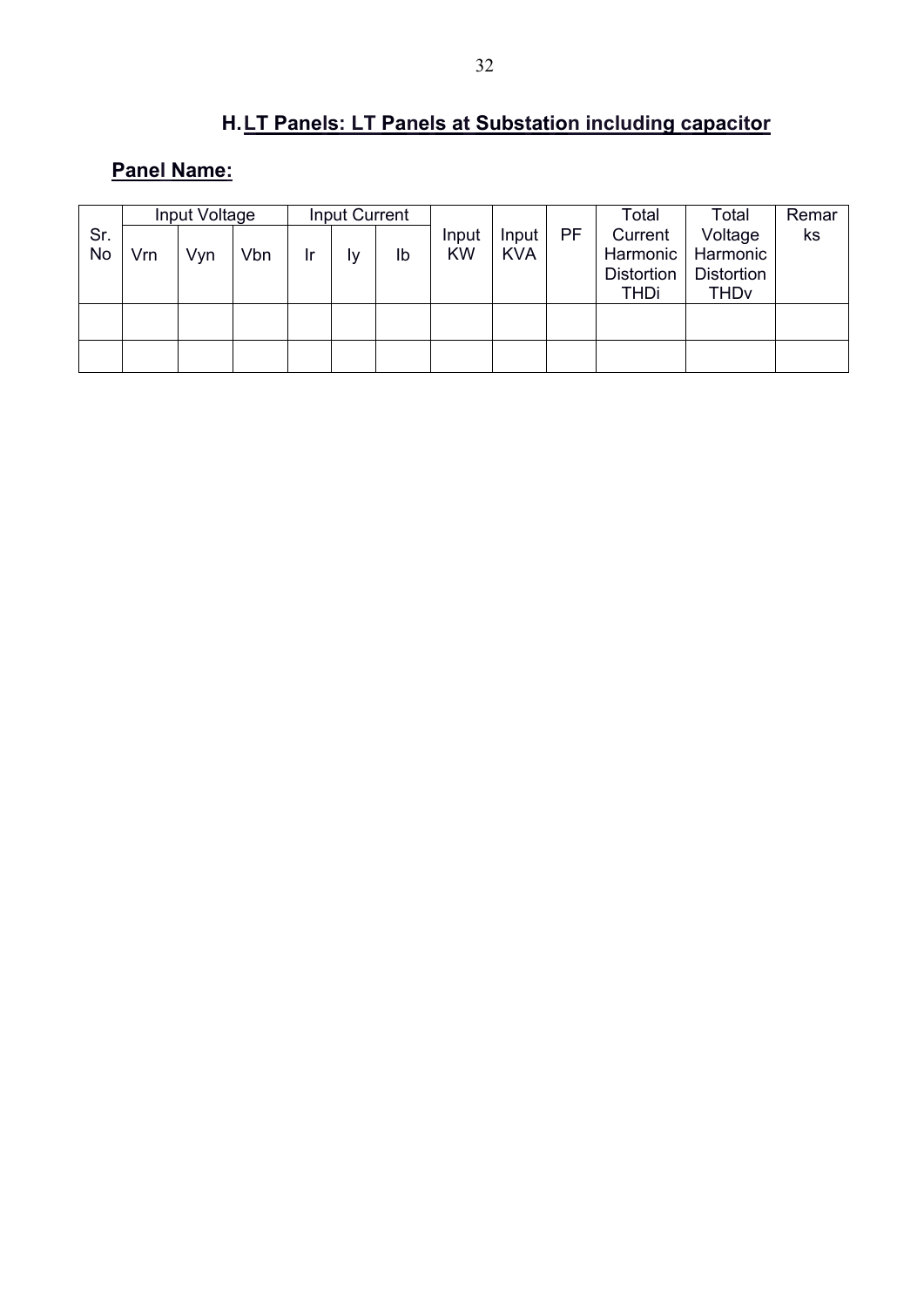# **H.LT Panels: LT Panels at Substation including capacitor**

## **Panel Name:**

|     |     | Input Voltage |     |    | Input Current |    |           |            |    | Total             | Total                  | Remar |
|-----|-----|---------------|-----|----|---------------|----|-----------|------------|----|-------------------|------------------------|-------|
| Sr. |     |               |     |    |               |    | Input     | Input      | PF | Current           | Voltage                | ks    |
| No  | Vrn | Vyn           | Vbn | Ir | l٧            | lb | <b>KW</b> | <b>KVA</b> |    | Harmonic          | Harmonic               |       |
|     |     |               |     |    |               |    |           |            |    | <b>Distortion</b> | <b>Distortion</b>      |       |
|     |     |               |     |    |               |    |           |            |    | THDi              | <b>THD<sub>v</sub></b> |       |
|     |     |               |     |    |               |    |           |            |    |                   |                        |       |
|     |     |               |     |    |               |    |           |            |    |                   |                        |       |
|     |     |               |     |    |               |    |           |            |    |                   |                        |       |
|     |     |               |     |    |               |    |           |            |    |                   |                        |       |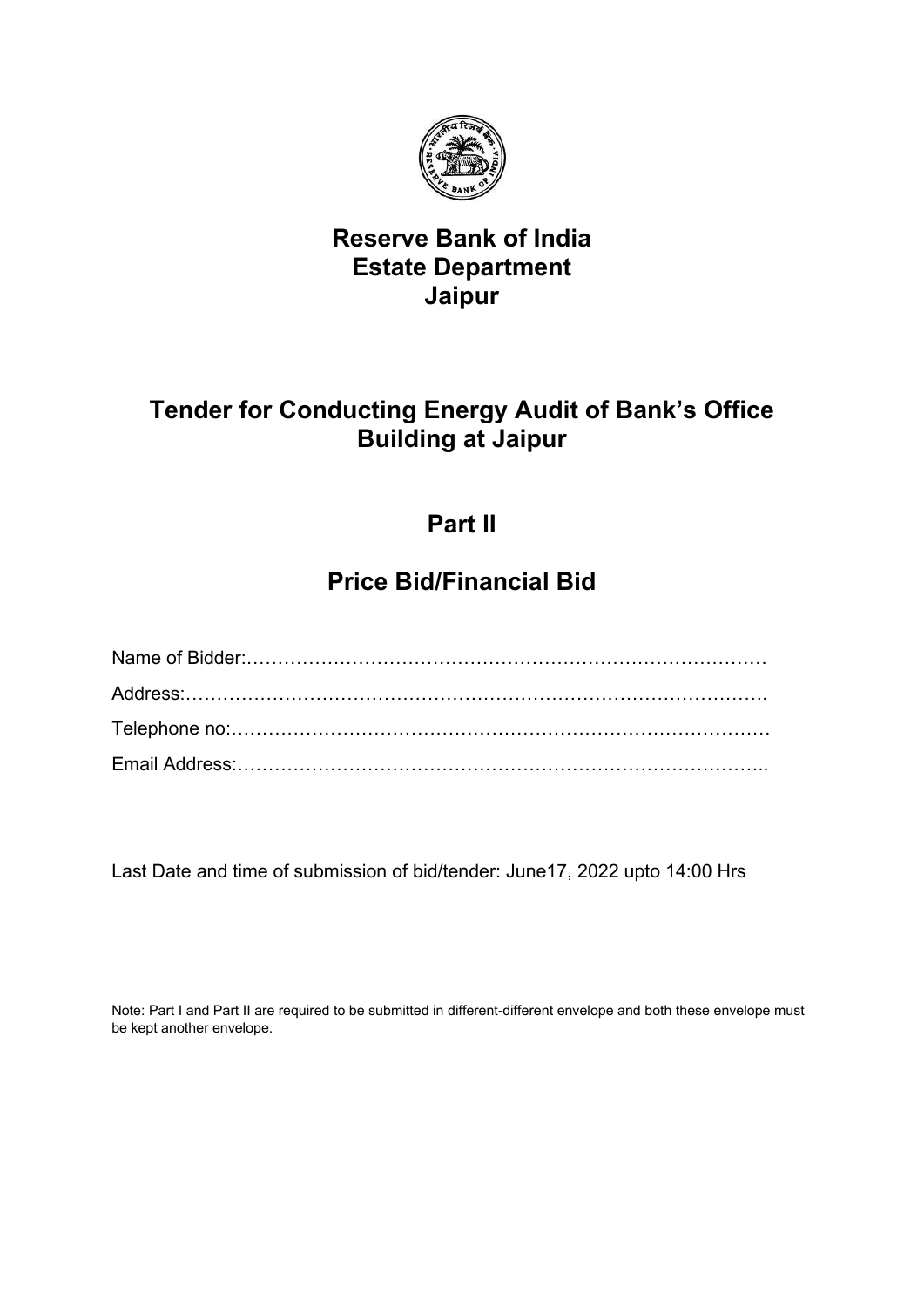

## **Reserve Bank of India Estate Department Jaipur**

# **Tender for Conducting Energy Audit of Bank's Office Building at Jaipur**

# **Part II**

# **Price Bid/Financial Bid**

Last Date and time of submission of bid/tender: June17, 2022 upto 14:00 Hrs

Note: Part I and Part II are required to be submitted in different-different envelope and both these envelope must be kept another envelope.